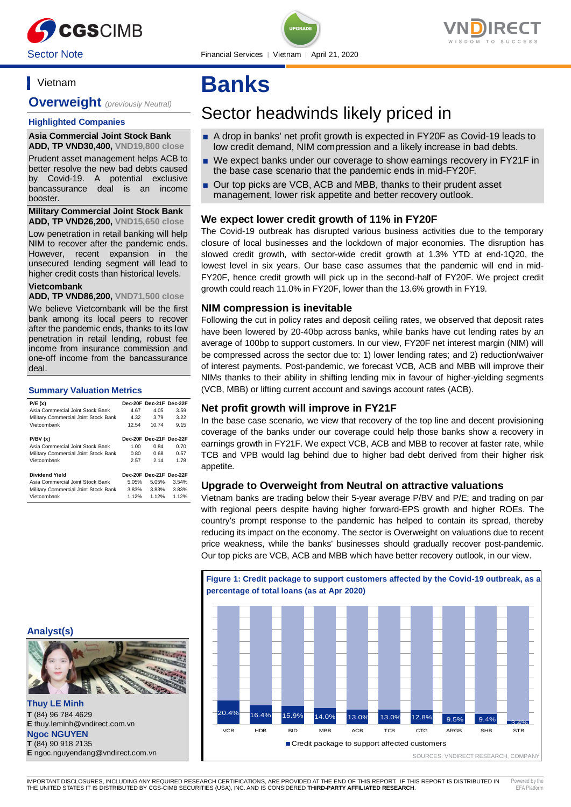



**Vietnam** 

## **Overweight** *(previously Neutral)*

#### **Highlighted Companies**

**Asia Commercial Joint Stock Bank ADD, TP VND30,400, VND19,800 close**

Prudent asset management helps ACB to better resolve the new bad debts caused by Covid-19. A potential exclusive bancassurance deal is an income booster.

**Military Commercial Joint Stock Bank ADD, TP VND26,200, VND15,650 close**

Low penetration in retail banking will help NIM to recover after the pandemic ends. However, recent expansion in the unsecured lending segment will lead to higher credit costs than historical levels.

#### **Vietcombank**

#### **ADD, TP VND86,200, VND71,500 close**

We believe Vietcombank will be the first bank among its local peers to recover after the pandemic ends, thanks to its low penetration in retail lending, robust fee income from insurance commission and one-off income from the bancassurance deal.

#### **Summary Valuation Metrics**

| P/E(x)                               |       | Dec-20F Dec-21F Dec-22F |       |
|--------------------------------------|-------|-------------------------|-------|
| Asia Commercial Joint Stock Bank     | 4.67  | 4.05                    | 3.59  |
| Military Commercial Joint Stock Bank | 4.32  | 3.79                    | 3.22  |
| Vietcombank                          | 12.54 | 10.74                   | 9.15  |
|                                      |       |                         |       |
| P/BV(x)                              |       | Dec-20F Dec-21F Dec-22F |       |
| Asia Commercial Joint Stock Bank     | 1.00  | 0.84                    | 0.70  |
| Military Commercial Joint Stock Bank | 0.80  | 0.68                    | 0.57  |
| Vietcombank                          | 2.57  | 2.14                    | 1.78  |
|                                      |       |                         |       |
| Dividend Yield                       |       | Dec-20F Dec-21F Dec-22F |       |
| Asia Commercial Joint Stock Bank     | 5.05% | 5.05%                   | 3.54% |
| Military Commercial Joint Stock Bank | 3.83% | 3.83%                   | 3.83% |
| Vietcombank                          | 1.12% | 1.12%                   | 1.12% |
|                                      |       |                         |       |

# **Banks**

## Sector headwinds likely priced in

- A drop in banks' net profit growth is expected in FY20F as Covid-19 leads to low credit demand, NIM compression and a likely increase in bad debts.
- We expect banks under our coverage to show earnings recovery in FY21F in the base case scenario that the pandemic ends in mid-FY20F.
- Our top picks are VCB, ACB and MBB, thanks to their prudent asset management, lower risk appetite and better recovery outlook.

### **We expect lower credit growth of 11% in FY20F**

The Covid-19 outbreak has disrupted various business activities due to the temporary closure of local businesses and the lockdown of major economies. The disruption has slowed credit growth, with sector-wide credit growth at 1.3% YTD at end-1Q20, the lowest level in six years. Our base case assumes that the pandemic will end in mid-FY20F, hence credit growth will pick up in the second-half of FY20F. We project credit growth could reach 11.0% in FY20F, lower than the 13.6% growth in FY19.

### **NIM compression is inevitable**

Following the cut in policy rates and deposit ceiling rates, we observed that deposit rates have been lowered by 20-40bp across banks, while banks have cut lending rates by an average of 100bp to support customers. In our view, FY20F net interest margin (NIM) will be compressed across the sector due to: 1) lower lending rates; and 2) reduction/waiver of interest payments. Post-pandemic, we forecast VCB, ACB and MBB will improve their NIMs thanks to their ability in shifting lending mix in favour of higher-yielding segments (VCB, MBB) or lifting current account and savings account rates (ACB).

## **Net profit growth will improve in FY21F**

In the base case scenario, we view that recovery of the top line and decent provisioning coverage of the banks under our coverage could help those banks show a recovery in earnings growth in FY21F. We expect VCB, ACB and MBB to recover at faster rate, while TCB and VPB would lag behind due to higher bad debt derived from their higher risk appetite.

#### **Upgrade to Overweight from Neutral on attractive valuations**

Vietnam banks are trading below their 5-year average P/BV and P/E; and trading on par with regional peers despite having higher forward-EPS growth and higher ROEs. The country's prompt response to the pandemic has helped to contain its spread, thereby reducing its impact on the economy. The sector is Overweight on valuations due to recent price weakness, while the banks' businesses should gradually recover post-pandemic. Our top picks are VCB, ACB and MBB which have better recovery outlook, in our view.



**Analyst(s)** 



**Thuy LE Minh T** (84) 96 784 4629 **E** thuy.leminh@vndirect.com.vn **Ngoc NGUYEN T** (84) 90 918 2135 **E** ngoc.nguyendang@vndirect.com.vn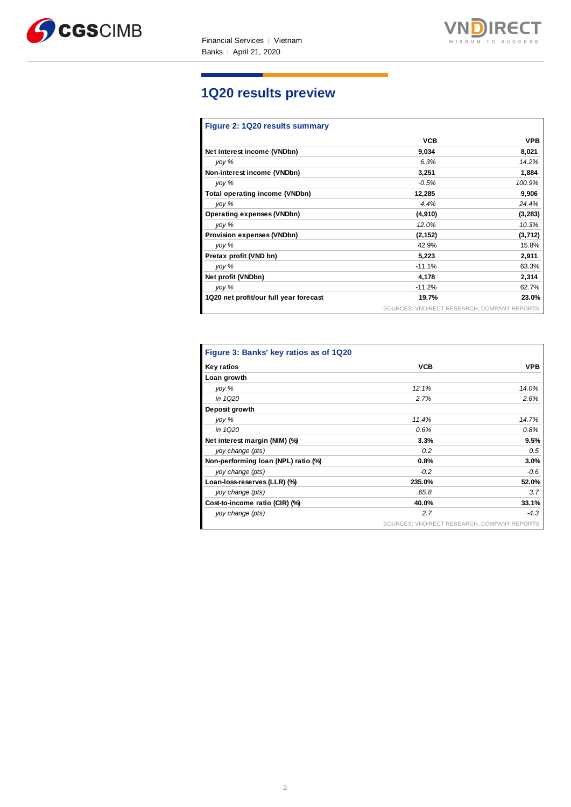



## **1Q20 results preview**

| Figure 2: 1Q20 results summary         |                                             |            |  |  |  |  |  |  |  |
|----------------------------------------|---------------------------------------------|------------|--|--|--|--|--|--|--|
|                                        | <b>VCB</b>                                  | <b>VPB</b> |  |  |  |  |  |  |  |
| Net interest income (VNDbn)            | 9,034                                       | 8,021      |  |  |  |  |  |  |  |
| $\gamma$ ov %                          | 6.3%                                        | 14.2%      |  |  |  |  |  |  |  |
| Non-interest income (VNDbn)            | 3,251                                       | 1,884      |  |  |  |  |  |  |  |
| yoy %                                  | $-0.5%$                                     | 100.9%     |  |  |  |  |  |  |  |
| Total operating income (VNDbn)         | 12,285                                      | 9,906      |  |  |  |  |  |  |  |
| yoy %                                  | 4.4%                                        | 24.4%      |  |  |  |  |  |  |  |
| <b>Operating expenses (VNDbn)</b>      | (4, 910)                                    | (3, 283)   |  |  |  |  |  |  |  |
| yoy %                                  | 12.0%                                       | 10.3%      |  |  |  |  |  |  |  |
| Provision expenses (VNDbn)             | (2, 152)                                    | (3,712)    |  |  |  |  |  |  |  |
| yoy %                                  | 42.9%                                       | 15.8%      |  |  |  |  |  |  |  |
| Pretax profit (VND bn)                 | 5,223                                       | 2,911      |  |  |  |  |  |  |  |
| yoy %                                  | $-11.1%$                                    | 63.3%      |  |  |  |  |  |  |  |
| Net profit (VNDbn)                     | 4,178                                       | 2,314      |  |  |  |  |  |  |  |
| $\gamma$ ov %                          | $-11.2%$                                    | 62.7%      |  |  |  |  |  |  |  |
| 1Q20 net profit/our full year forecast | 19.7%                                       | 23.0%      |  |  |  |  |  |  |  |
|                                        | SOURCES: VNDIRECT RESEARCH, COMPANY REPORTS |            |  |  |  |  |  |  |  |

| Figure 3: Banks' key ratios as of 1Q20 |                                             |               |  |  |  |  |
|----------------------------------------|---------------------------------------------|---------------|--|--|--|--|
| <b>Key ratios</b>                      | <b>VCB</b>                                  | <b>VPB</b>    |  |  |  |  |
| Loan growth                            |                                             |               |  |  |  |  |
| yov %                                  | 12.1%                                       | 14.0%         |  |  |  |  |
| in 1Q20                                | 2.7%                                        | 2.6%          |  |  |  |  |
| Deposit growth                         |                                             |               |  |  |  |  |
| yoy %                                  | 11.4%                                       | 14.7%         |  |  |  |  |
| in 1Q20                                | 0.6%                                        | 0.8%          |  |  |  |  |
| Net interest margin (NIM) (%)          | 3.3%                                        | 9.5%          |  |  |  |  |
| yoy change (pts)                       | 0.2                                         | $0.5^{\circ}$ |  |  |  |  |
| Non-performing loan (NPL) ratio (%)    | 0.8%                                        | 3.0%          |  |  |  |  |
| yoy change (pts)                       | $-0.2$                                      | $-0.6$        |  |  |  |  |
| Loan-loss-reserves (LLR) (%)           | 235.0%                                      | 52.0%         |  |  |  |  |
| yoy change (pts)                       | 65.8                                        | 3.7           |  |  |  |  |
| Cost-to-income ratio (CIR) (%)         | 40.0%                                       | 33.1%         |  |  |  |  |
| yoy change (pts)                       | 2.7                                         | $-4.3$        |  |  |  |  |
|                                        | SOURCES: VNDIRECT RESEARCH, COMPANY REPORTS |               |  |  |  |  |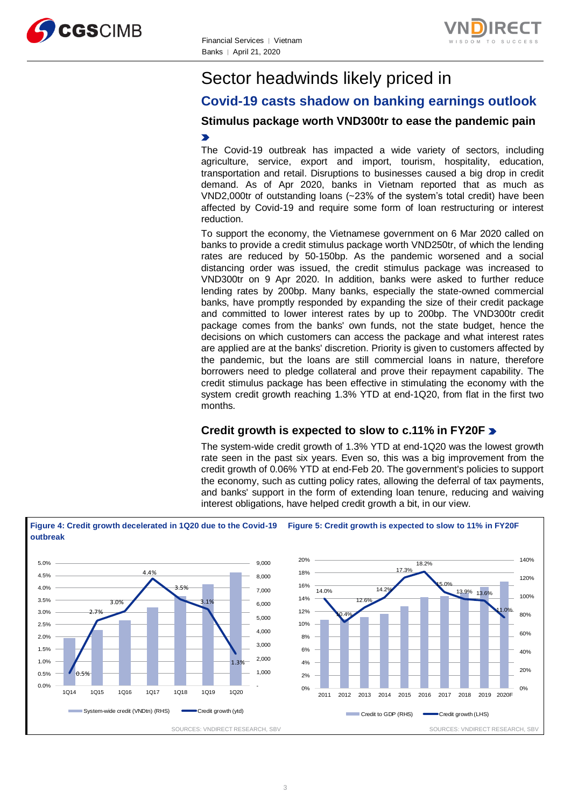



## Sector headwinds likely priced in

## **Covid-19 casts shadow on banking earnings outlook**

## **Stimulus package worth VND300tr to ease the pandemic pain**  $\blacktriangleright$

The Covid-19 outbreak has impacted a wide variety of sectors, including agriculture, service, export and import, tourism, hospitality, education, transportation and retail. Disruptions to businesses caused a big drop in credit demand. As of Apr 2020, banks in Vietnam reported that as much as VND2,000tr of outstanding loans (~23% of the system's total credit) have been affected by Covid-19 and require some form of loan restructuring or interest reduction.

To support the economy, the Vietnamese government on 6 Mar 2020 called on banks to provide a credit stimulus package worth VND250tr, of which the lending rates are reduced by 50-150bp. As the pandemic worsened and a social distancing order was issued, the credit stimulus package was increased to VND300tr on 9 Apr 2020. In addition, banks were asked to further reduce lending rates by 200bp. Many banks, especially the state-owned commercial banks, have promptly responded by expanding the size of their credit package and committed to lower interest rates by up to 200bp. The VND300tr credit package comes from the banks' own funds, not the state budget, hence the decisions on which customers can access the package and what interest rates are applied are at the banks' discretion. Priority is given to customers affected by the pandemic, but the loans are still commercial loans in nature, therefore borrowers need to pledge collateral and prove their repayment capability. The credit stimulus package has been effective in stimulating the economy with the system credit growth reaching 1.3% YTD at end-1Q20, from flat in the first two months.

## **Credit growth is expected to slow to c.11% in FY20F**

The system-wide credit growth of 1.3% YTD at end-1Q20 was the lowest growth rate seen in the past six years. Even so, this was a big improvement from the credit growth of 0.06% YTD at end-Feb 20. The government's policies to support the economy, such as cutting policy rates, allowing the deferral of tax payments, and banks' support in the form of extending loan tenure, reducing and waiving interest obligations, have helped credit growth a bit, in our view.

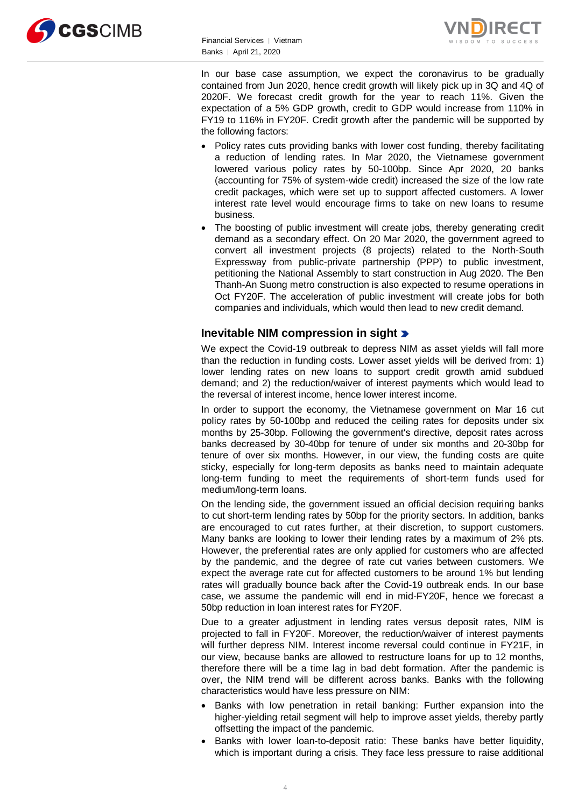



In our base case assumption, we expect the coronavirus to be gradually contained from Jun 2020, hence credit growth will likely pick up in 3Q and 4Q of 2020F. We forecast credit growth for the year to reach 11%. Given the expectation of a 5% GDP growth, credit to GDP would increase from 110% in FY19 to 116% in FY20F. Credit growth after the pandemic will be supported by the following factors:

- Policy rates cuts providing banks with lower cost funding, thereby facilitating a reduction of lending rates. In Mar 2020, the Vietnamese government lowered various policy rates by 50-100bp. Since Apr 2020, 20 banks (accounting for 75% of system-wide credit) increased the size of the low rate credit packages, which were set up to support affected customers. A lower interest rate level would encourage firms to take on new loans to resume business.
- The boosting of public investment will create jobs, thereby generating credit demand as a secondary effect. On 20 Mar 2020, the government agreed to convert all investment projects (8 projects) related to the North-South Expressway from public-private partnership (PPP) to public investment, petitioning the National Assembly to start construction in Aug 2020. The Ben Thanh-An Suong metro construction is also expected to resume operations in Oct FY20F. The acceleration of public investment will create jobs for both companies and individuals, which would then lead to new credit demand.

## **Inevitable NIM compression in sight**

We expect the Covid-19 outbreak to depress NIM as asset yields will fall more than the reduction in funding costs. Lower asset yields will be derived from: 1) lower lending rates on new loans to support credit growth amid subdued demand; and 2) the reduction/waiver of interest payments which would lead to the reversal of interest income, hence lower interest income.

In order to support the economy, the Vietnamese government on Mar 16 cut policy rates by 50-100bp and reduced the ceiling rates for deposits under six months by 25-30bp. Following the government's directive, deposit rates across banks decreased by 30-40bp for tenure of under six months and 20-30bp for tenure of over six months. However, in our view, the funding costs are quite sticky, especially for long-term deposits as banks need to maintain adequate long-term funding to meet the requirements of short-term funds used for medium/long-term loans.

On the lending side, the government issued an official decision requiring banks to cut short-term lending rates by 50bp for the priority sectors. In addition, banks are encouraged to cut rates further, at their discretion, to support customers. Many banks are looking to lower their lending rates by a maximum of 2% pts. However, the preferential rates are only applied for customers who are affected by the pandemic, and the degree of rate cut varies between customers. We expect the average rate cut for affected customers to be around 1% but lending rates will gradually bounce back after the Covid-19 outbreak ends. In our base case, we assume the pandemic will end in mid-FY20F, hence we forecast a 50bp reduction in loan interest rates for FY20F.

Due to a greater adjustment in lending rates versus deposit rates, NIM is projected to fall in FY20F. Moreover, the reduction/waiver of interest payments will further depress NIM. Interest income reversal could continue in FY21F, in our view, because banks are allowed to restructure loans for up to 12 months, therefore there will be a time lag in bad debt formation. After the pandemic is over, the NIM trend will be different across banks. Banks with the following characteristics would have less pressure on NIM:

- Banks with low penetration in retail banking: Further expansion into the higher-yielding retail segment will help to improve asset yields, thereby partly offsetting the impact of the pandemic.
- Banks with lower loan-to-deposit ratio: These banks have better liquidity, which is important during a crisis. They face less pressure to raise additional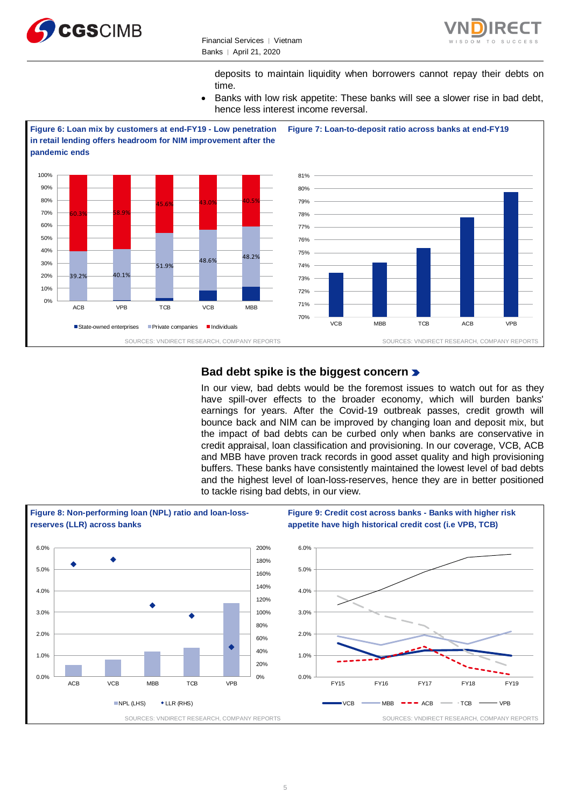



deposits to maintain liquidity when borrowers cannot repay their debts on time.

 Banks with low risk appetite: These banks will see a slower rise in bad debt, hence less interest income reversal.



## **Bad debt spike is the biggest concern**

In our view, bad debts would be the foremost issues to watch out for as they have spill-over effects to the broader economy, which will burden banks' earnings for years. After the Covid-19 outbreak passes, credit growth will bounce back and NIM can be improved by changing loan and deposit mix, but the impact of bad debts can be curbed only when banks are conservative in credit appraisal, loan classification and provisioning. In our coverage, VCB, ACB and MBB have proven track records in good asset quality and high provisioning buffers. These banks have consistently maintained the lowest level of bad debts and the highest level of loan-loss-reserves, hence they are in better positioned to tackle rising bad debts, in our view.

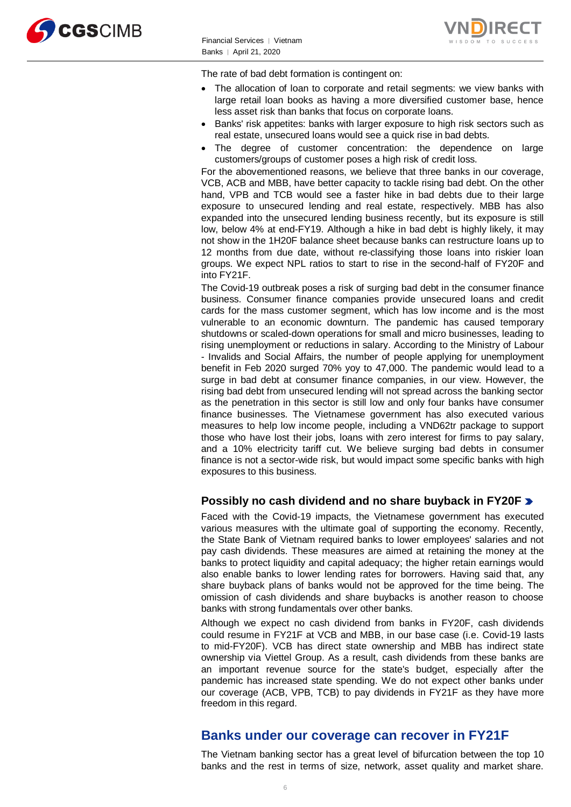



The rate of bad debt formation is contingent on:

- The allocation of loan to corporate and retail segments: we view banks with large retail loan books as having a more diversified customer base, hence less asset risk than banks that focus on corporate loans.
- Banks' risk appetites: banks with larger exposure to high risk sectors such as real estate, unsecured loans would see a quick rise in bad debts.
- The degree of customer concentration: the dependence on large customers/groups of customer poses a high risk of credit loss.

For the abovementioned reasons, we believe that three banks in our coverage, VCB, ACB and MBB, have better capacity to tackle rising bad debt. On the other hand, VPB and TCB would see a faster hike in bad debts due to their large exposure to unsecured lending and real estate, respectively. MBB has also expanded into the unsecured lending business recently, but its exposure is still low, below 4% at end-FY19. Although a hike in bad debt is highly likely, it may not show in the 1H20F balance sheet because banks can restructure loans up to 12 months from due date, without re-classifying those loans into riskier loan groups. We expect NPL ratios to start to rise in the second-half of FY20F and into FY21F.

The Covid-19 outbreak poses a risk of surging bad debt in the consumer finance business. Consumer finance companies provide unsecured loans and credit cards for the mass customer segment, which has low income and is the most vulnerable to an economic downturn. The pandemic has caused temporary shutdowns or scaled-down operations for small and micro businesses, leading to rising unemployment or reductions in salary. According to the Ministry of Labour - Invalids and Social Affairs, the number of people applying for unemployment benefit in Feb 2020 surged 70% yoy to 47,000. The pandemic would lead to a surge in bad debt at consumer finance companies, in our view. However, the rising bad debt from unsecured lending will not spread across the banking sector as the penetration in this sector is still low and only four banks have consumer finance businesses. The Vietnamese government has also executed various measures to help low income people, including a VND62tr package to support those who have lost their jobs, loans with zero interest for firms to pay salary, and a 10% electricity tariff cut. We believe surging bad debts in consumer finance is not a sector-wide risk, but would impact some specific banks with high exposures to this business.

## **Possibly no cash dividend and no share buyback in FY20F**

Faced with the Covid-19 impacts, the Vietnamese government has executed various measures with the ultimate goal of supporting the economy. Recently, the State Bank of Vietnam required banks to lower employees' salaries and not pay cash dividends. These measures are aimed at retaining the money at the banks to protect liquidity and capital adequacy; the higher retain earnings would also enable banks to lower lending rates for borrowers. Having said that, any share buyback plans of banks would not be approved for the time being. The omission of cash dividends and share buybacks is another reason to choose banks with strong fundamentals over other banks.

Although we expect no cash dividend from banks in FY20F, cash dividends could resume in FY21F at VCB and MBB, in our base case (i.e. Covid-19 lasts to mid-FY20F). VCB has direct state ownership and MBB has indirect state ownership via Viettel Group. As a result, cash dividends from these banks are an important revenue source for the state's budget, especially after the pandemic has increased state spending. We do not expect other banks under our coverage (ACB, VPB, TCB) to pay dividends in FY21F as they have more freedom in this regard.

## **Banks under our coverage can recover in FY21F**

The Vietnam banking sector has a great level of bifurcation between the top 10 banks and the rest in terms of size, network, asset quality and market share.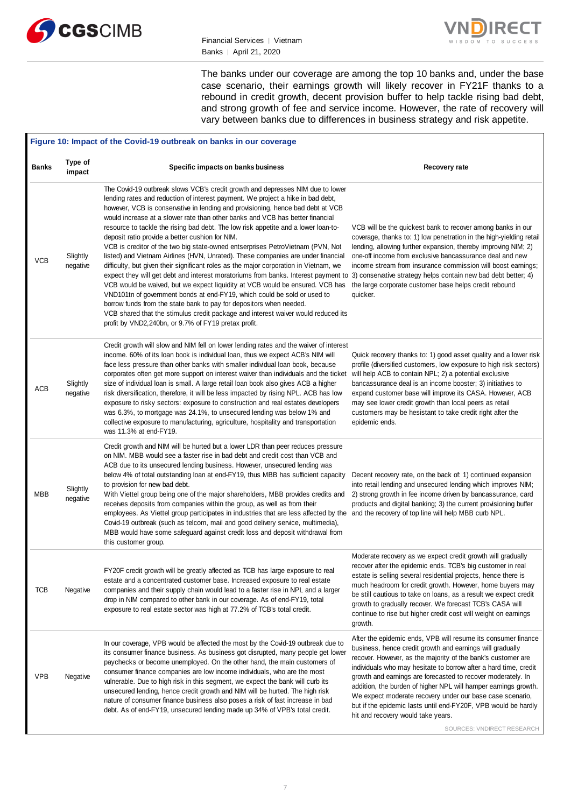



The banks under our coverage are among the top 10 banks and, under the base case scenario, their earnings growth will likely recover in FY21F thanks to a rebound in credit growth, decent provision buffer to help tackle rising bad debt, and strong growth of fee and service income. However, the rate of recovery will vary between banks due to differences in business strategy and risk appetite.

| <b>Banks</b> | Type of<br>impact    | Specific impacts on banks business                                                                                                                                                                                                                                                                                                                                                                                                                                                                                                                                                                                                                                                                                                                                                                                                                                                                                                                                                                                                                                                                                                                                                                                                                                                  | Recovery rate                                                                                                                                                                                                                                                                                                                                                                                                                                                                                                                                                          |
|--------------|----------------------|-------------------------------------------------------------------------------------------------------------------------------------------------------------------------------------------------------------------------------------------------------------------------------------------------------------------------------------------------------------------------------------------------------------------------------------------------------------------------------------------------------------------------------------------------------------------------------------------------------------------------------------------------------------------------------------------------------------------------------------------------------------------------------------------------------------------------------------------------------------------------------------------------------------------------------------------------------------------------------------------------------------------------------------------------------------------------------------------------------------------------------------------------------------------------------------------------------------------------------------------------------------------------------------|------------------------------------------------------------------------------------------------------------------------------------------------------------------------------------------------------------------------------------------------------------------------------------------------------------------------------------------------------------------------------------------------------------------------------------------------------------------------------------------------------------------------------------------------------------------------|
| <b>VCB</b>   | Slightly<br>negative | The Covid-19 outbreak slows VCB's credit growth and depresses NIM due to lower<br>lending rates and reduction of interest payment. We project a hike in bad debt,<br>however, VCB is conservative in lending and provisioning, hence bad debt at VCB<br>would increase at a slower rate than other banks and VCB has better financial<br>resource to tackle the rising bad debt. The low risk appetite and a lower loan-to-<br>deposit ratio provide a better cushion for NIM.<br>VCB is creditor of the two big state-owned entserprises PetroVietnam (PVN, Not<br>listed) and Vietnam Airlines (HVN, Unrated). These companies are under financial<br>difficulty, but given their significant roles as the major corporation in Vietnam, we<br>expect they will get debt and interest moratoriums from banks. Interest payment to 3) conservative strategy helps contain new bad debt better; 4)<br>VCB would be waived, but we expect liquidity at VCB would be ensured. VCB has<br>VND101th of government bonds at end-FY19, which could be sold or used to<br>borrow funds from the state bank to pay for depositors when needed.<br>VCB shared that the stimulus credit package and interest waiver would reduced its<br>profit by VND2,240bn, or 9.7% of FY19 pretax profit. | VCB will be the quickest bank to recover among banks in our<br>coverage, thanks to: 1) low penetration in the high-yielding retail<br>lending, allowing further expansion, thereby improving NIM; 2)<br>one-off income from exclusive bancassurance deal and new<br>income stream from insurance commission will boost earnings;<br>the large corporate customer base helps credit rebound<br>quicker.                                                                                                                                                                 |
| ACB          | Slightly<br>negative | Credit growth will slow and NIM fell on lower lending rates and the waiver of interest<br>income. 60% of its loan book is individual loan, thus we expect ACB's NIM will<br>face less pressure than other banks with smaller individual loan book, because<br>corporates often get more support on interest waiver than individuals and the ticket will help ACB to contain NPL; 2) a potential exclusive<br>size of individual loan is small. A large retail loan book also gives ACB a higher<br>risk diversification, therefore, it will be less impacted by rising NPL. ACB has low<br>exposure to risky sectors: exposure to construction and real estates developers<br>was 6.3%, to mortgage was 24.1%, to unsecured lending was below 1% and<br>collective exposure to manufacturing, agriculture, hospitality and transportation<br>was 11.3% at end-FY19.                                                                                                                                                                                                                                                                                                                                                                                                                 | Quick recovery thanks to: 1) good asset quality and a lower risk<br>profile (diversified customers, low exposure to high risk sectors)<br>bancassurance deal is an income booster; 3) initiatives to<br>expand customer base will improve its CASA. However, ACB<br>may see lower credit growth than local peers as retail<br>customers may be hesistant to take credit right after the<br>epidemic ends.                                                                                                                                                              |
| MBB          | Slightly<br>negative | Credit growth and NIM will be hurted but a lower LDR than peer reduces pressure<br>on NIM. MBB would see a faster rise in bad debt and credit cost than VCB and<br>ACB due to its unsecured lending business. However, unsecured lending was<br>below 4% of total outstanding loan at end-FY19, thus MBB has sufficient capacity<br>to provision for new bad debt.<br>With Viettel group being one of the major shareholders, MBB provides credits and<br>receives deposits from companies within the group, as well as from their<br>employees. As Viettel group participates in industries that are less affected by the and the recovery of top line will help MBB curb NPL.<br>Covid-19 outbreak (such as telcom, mail and good delivery service, multimedia),<br>MBB would have some safeguard against credit loss and deposit withdrawal from<br>this customer group.                                                                                                                                                                                                                                                                                                                                                                                                         | Decent recovery rate, on the back of: 1) continued expansion<br>into retail lending and unsecured lending which improves NIM;<br>2) strong growth in fee income driven by bancassurance, card<br>products and digital banking; 3) the current provisioning buffer                                                                                                                                                                                                                                                                                                      |
| TCB          | Negative             | FY20F credit growth will be greatly affected as TCB has large exposure to real<br>estate and a concentrated customer base. Increased exposure to real estate<br>companies and their supply chain would lead to a faster rise in NPL and a larger<br>drop in NIM compared to other bank in our coverage. As of end-FY19, total<br>exposure to real estate sector was high at 77.2% of TCB's total credit.                                                                                                                                                                                                                                                                                                                                                                                                                                                                                                                                                                                                                                                                                                                                                                                                                                                                            | Moderate recovery as we expect credit growth will gradually<br>recover after the epidemic ends. TCB's big customer in real<br>estate is selling several residential projects, hence there is<br>much headroom for credit growth. However, home buyers may<br>be still cautious to take on loans, as a result we expect credit<br>growth to gradually recover. We forecast TCB's CASA will<br>continue to rise but higher credit cost will weight on earnings<br>growth.                                                                                                |
| <b>VPB</b>   | Negative             | In our coverage, VPB would be affected the most by the Covid-19 outbreak due to<br>its consumer finance business. As business got disrupted, many people get lower<br>paychecks or become unemployed. On the other hand, the main customers of<br>consumer finance companies are low income individuals, who are the most<br>vulnerable. Due to high risk in this segment, we expect the bank will curb its<br>unsecured lending, hence credit growth and NIM will be hurted. The high risk<br>nature of consumer finance business also poses a risk of fast increase in bad<br>debt. As of end-FY19, unsecured lending made up 34% of VPB's total credit.                                                                                                                                                                                                                                                                                                                                                                                                                                                                                                                                                                                                                          | After the epidemic ends, VPB will resume its consumer finance<br>business, hence credit growth and earnings will gradually<br>recover. However, as the majority of the bank's customer are<br>individuals who may hesitate to borrow after a hard time, credit<br>growth and earnings are forecasted to recover moderately. In<br>addition, the burden of higher NPL will hamper earnings growth.<br>We expect moderate recovery under our base case scenario,<br>but if the epidemic lasts until end-FY20F, VPB would be hardly<br>hit and recovery would take years. |

SOURCES: VNDIRECT RESEARCH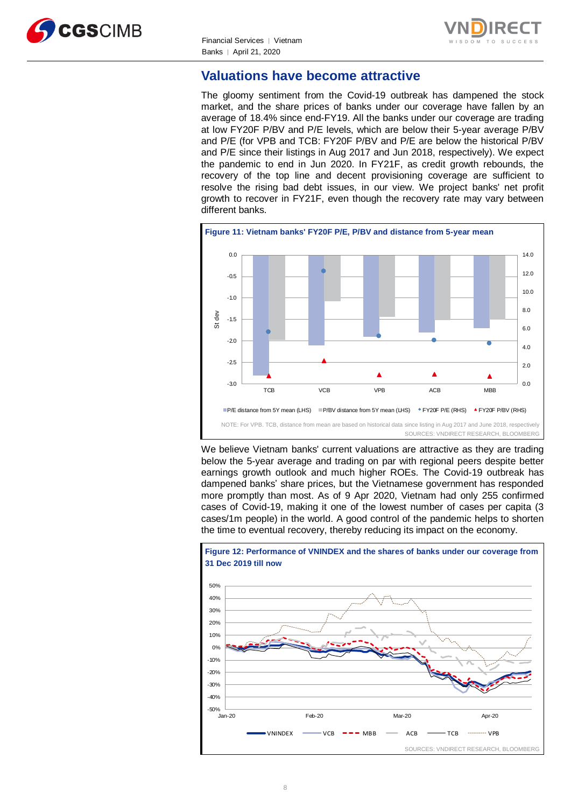



## **Valuations have become attractive**

The gloomy sentiment from the Covid-19 outbreak has dampened the stock market, and the share prices of banks under our coverage have fallen by an average of 18.4% since end-FY19. All the banks under our coverage are trading at low FY20F P/BV and P/E levels, which are below their 5-year average P/BV and P/E (for VPB and TCB: FY20F P/BV and P/E are below the historical P/BV and P/E since their listings in Aug 2017 and Jun 2018, respectively). We expect the pandemic to end in Jun 2020. In FY21F, as credit growth rebounds, the recovery of the top line and decent provisioning coverage are sufficient to resolve the rising bad debt issues, in our view. We project banks' net profit growth to recover in FY21F, even though the recovery rate may vary between different banks.



We believe Vietnam banks' current valuations are attractive as they are trading below the 5-year average and trading on par with regional peers despite better earnings growth outlook and much higher ROEs. The Covid-19 outbreak has dampened banks' share prices, but the Vietnamese government has responded more promptly than most. As of 9 Apr 2020, Vietnam had only 255 confirmed cases of Covid-19, making it one of the lowest number of cases per capita (3 cases/1m people) in the world. A good control of the pandemic helps to shorten the time to eventual recovery, thereby reducing its impact on the economy.

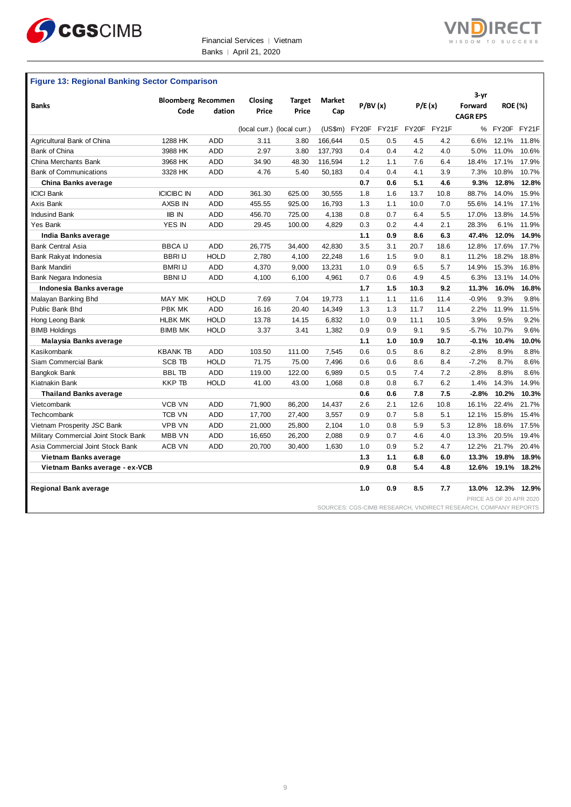



| <b>Figure 13: Regional Banking Sector Comparison</b> |                           |             |         |                                     |                    |              |              |        |       |                                                                |                         |       |
|------------------------------------------------------|---------------------------|-------------|---------|-------------------------------------|--------------------|--------------|--------------|--------|-------|----------------------------------------------------------------|-------------------------|-------|
|                                                      | <b>Bloomberg Recommen</b> |             | Closing | <b>Target</b>                       | Market             |              |              |        |       | $3 - yr$                                                       |                         |       |
| <b>Banks</b>                                         | Code                      | dation      | Price   | Price                               | Cap                | P/BV(x)      |              | P/E(x) |       | Forward                                                        | <b>ROE (%)</b>          |       |
|                                                      |                           |             |         |                                     |                    |              |              | FY20F  | FY21F | <b>CAGREPS</b><br>$\%$                                         | FY20F FY21F             |       |
| Agricultural Bank of China                           | 1288 HK                   | <b>ADD</b>  | 3.11    | (local curr.) (local curr.)<br>3.80 | (US\$m)<br>166,644 | FY20F<br>0.5 | FY21F<br>0.5 | 4.5    | 4.2   | 6.6%                                                           | 12.1%                   | 11.8% |
| Bank of China                                        | 3988 HK                   | <b>ADD</b>  | 2.97    | 3.80                                | 137,793            | 0.4          | 0.4          | 4.2    | 4.0   | 5.0%                                                           | 11.0%                   | 10.6% |
| China Merchants Bank                                 | 3968 HK                   | <b>ADD</b>  | 34.90   | 48.30                               | 116,594            | 1.2          | 1.1          | 7.6    | 6.4   | 18.4%                                                          | 17.1%                   | 17.9% |
| <b>Bank of Communications</b>                        | 3328 HK                   | <b>ADD</b>  | 4.76    | 5.40                                | 50,183             | 0.4          | 0.4          | 4.1    | 3.9   | 7.3%                                                           | 10.8%                   | 10.7% |
| China Banks average                                  |                           |             |         |                                     |                    | 0.7          | 0.6          | 5.1    | 4.6   | 9.3%                                                           | 12.8%                   | 12.8% |
| <b>ICICI Bank</b>                                    | <b>ICICIBC IN</b>         | <b>ADD</b>  | 361.30  | 625.00                              | 30,555             | 1.8          | 1.6          | 13.7   | 10.8  | 88.7%                                                          | 14.0%                   | 15.9% |
| Axis Bank                                            | <b>AXSB IN</b>            | <b>ADD</b>  | 455.55  | 925.00                              | 16.793             | 1.3          | 1.1          | 10.0   | 7.0   | 55.6%                                                          | 14.1%                   | 17.1% |
| <b>Indusind Bank</b>                                 | <b>IIB IN</b>             | <b>ADD</b>  | 456.70  | 725.00                              | 4,138              | 0.8          | 0.7          | 6.4    | 5.5   | 17.0%                                                          | 13.8%                   | 14.5% |
| Yes Bank                                             | <b>YES IN</b>             | <b>ADD</b>  | 29.45   | 100.00                              | 4,829              | 0.3          | 0.2          | 4.4    | 2.1   | 28.3%                                                          | 6.1%                    | 11.9% |
| India Banks average                                  |                           |             |         |                                     |                    | 1.1          | 0.9          | 8.6    | 6.3   | 47.4%                                                          | 12.0%                   | 14.9% |
| <b>Bank Central Asia</b>                             | <b>BBCA IJ</b>            | <b>ADD</b>  | 26,775  | 34,400                              | 42,830             | 3.5          | 3.1          | 20.7   | 18.6  | 12.8%                                                          | 17.6%                   | 17.7% |
| Bank Rakyat Indonesia                                | <b>BBRI IJ</b>            | <b>HOLD</b> | 2,780   | 4,100                               | 22,248             | 1.6          | 1.5          | 9.0    | 8.1   | 11.2%                                                          | 18.2%                   | 18.8% |
| <b>Bank Mandiri</b>                                  | <b>BMRI IJ</b>            | ADD         | 4,370   | 9,000                               | 13,231             | 1.0          | 0.9          | 6.5    | 5.7   | 14.9%                                                          | 15.3%                   | 16.8% |
| Bank Negara Indonesia                                | <b>BBNI IJ</b>            | <b>ADD</b>  | 4,100   | 6,100                               | 4,961              | 0.7          | 0.6          | 4.9    | 4.5   | 6.3%                                                           | 13.1%                   | 14.0% |
| Indonesia Banks average                              |                           |             |         |                                     |                    | 1.7          | 1.5          | 10.3   | 9.2   | 11.3%                                                          | 16.0%                   | 16.8% |
| Malayan Banking Bhd                                  | MAY MK                    | <b>HOLD</b> | 7.69    | 7.04                                | 19.773             | 1.1          | 1.1          | 11.6   | 11.4  | $-0.9%$                                                        | 9.3%                    | 9.8%  |
| Public Bank Bhd                                      | PBK MK                    | ADD         | 16.16   | 20.40                               | 14,349             | 1.3          | 1.3          | 11.7   | 11.4  | 2.2%                                                           | 11.9%                   | 11.5% |
| Hong Leong Bank                                      | <b>HLBK MK</b>            | <b>HOLD</b> | 13.78   | 14.15                               | 6,832              | 1.0          | 0.9          | 11.1   | 10.5  | 3.9%                                                           | 9.5%                    | 9.2%  |
| <b>BIMB Holdings</b>                                 | <b>BIMB MK</b>            | <b>HOLD</b> | 3.37    | 3.41                                | 1,382              | 0.9          | 0.9          | 9.1    | 9.5   | $-5.7%$                                                        | 10.7%                   | 9.6%  |
| Malaysia Banks average                               |                           |             |         |                                     |                    | 1.1          | 1.0          | 10.9   | 10.7  | $-0.1%$                                                        | 10.4%                   | 10.0% |
| Kasikornbank                                         | <b>KBANK TB</b>           | <b>ADD</b>  | 103.50  | 111.00                              | 7,545              | 0.6          | 0.5          | 8.6    | 8.2   | $-2.8%$                                                        | 8.9%                    | 8.8%  |
| Siam Commercial Bank                                 | <b>SCB TB</b>             | <b>HOLD</b> | 71.75   | 75.00                               | 7,496              | 0.6          | 0.6          | 8.6    | 8.4   | $-7.2%$                                                        | 8.7%                    | 8.6%  |
| Bangkok Bank                                         | <b>BBL TB</b>             | <b>ADD</b>  | 119.00  | 122.00                              | 6,989              | 0.5          | 0.5          | 7.4    | 7.2   | $-2.8%$                                                        | 8.8%                    | 8.6%  |
| Kiatnakin Bank                                       | <b>KKP TB</b>             | <b>HOLD</b> | 41.00   | 43.00                               | 1,068              | 0.8          | 0.8          | 6.7    | 6.2   | 1.4%                                                           | 14.3%                   | 14.9% |
| <b>Thailand Banks average</b>                        |                           |             |         |                                     |                    | 0.6          | 0.6          | 7.8    | 7.5   | $-2.8%$                                                        | 10.2%                   | 10.3% |
| Vietcombank                                          | <b>VCB VN</b>             | <b>ADD</b>  | 71,900  | 86,200                              | 14,437             | 2.6          | 2.1          | 12.6   | 10.8  | 16.1%                                                          | 22.4%                   | 21.7% |
| <b>Techcombank</b>                                   | <b>TCB VN</b>             | <b>ADD</b>  | 17,700  | 27,400                              | 3,557              | 0.9          | 0.7          | 5.8    | 5.1   | 12.1%                                                          | 15.8%                   | 15.4% |
| Vietnam Prosperity JSC Bank                          | <b>VPB VN</b>             | <b>ADD</b>  | 21,000  | 25,800                              | 2,104              | 1.0          | 0.8          | 5.9    | 5.3   | 12.8%                                                          | 18.6%                   | 17.5% |
| Military Commercial Joint Stock Bank                 | <b>MBB VN</b>             | <b>ADD</b>  | 16,650  | 26,200                              | 2,088              | 0.9          | 0.7          | 4.6    | 4.0   | 13.3%                                                          | 20.5%                   | 19.4% |
| Asia Commercial Joint Stock Bank                     | <b>ACB VN</b>             | <b>ADD</b>  | 20,700  | 30,400                              | 1,630              | 1.0          | 0.9          | 5.2    | 4.7   | 12.2%                                                          | 21.7%                   | 20.4% |
| Vietnam Banks average                                |                           |             |         |                                     |                    | 1.3          | 1.1          | 6.8    | 6.0   | 13.3%                                                          | 19.8%                   | 18.9% |
| Vietnam Banks average - ex-VCB                       |                           |             |         |                                     |                    | 0.9          | 0.8          | 5.4    | 4.8   | 12.6%                                                          | 19.1%                   | 18.2% |
|                                                      |                           |             |         |                                     |                    |              |              |        |       |                                                                |                         |       |
| Regional Bank average                                |                           |             |         |                                     |                    | 1.0          | 0.9          | 8.5    | 7.7   | 13.0%                                                          | 12.3%                   | 12.9% |
|                                                      |                           |             |         |                                     |                    |              |              |        |       |                                                                | PRICE AS OF 20 APR 2020 |       |
|                                                      |                           |             |         |                                     |                    |              |              |        |       | SOURCES: CGS-CIMB RESEARCH, VNDIRECT RESEARCH, COMPANY REPORTS |                         |       |
|                                                      |                           |             |         |                                     |                    |              |              |        |       |                                                                |                         |       |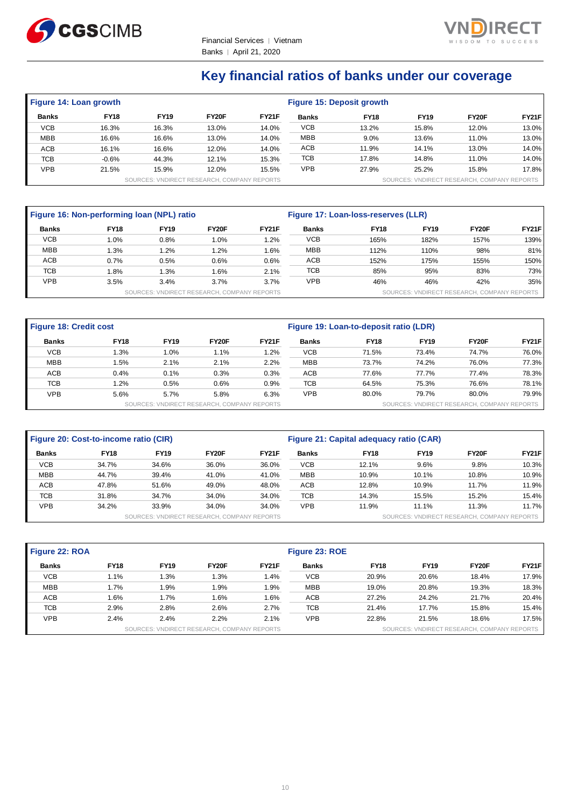



## **Key financial ratios of banks under our coverage**

| Figure 14: Loan growth |             |             |                                             |              |              | <b>Figure 15: Deposit growth</b> |                                             |       |              |
|------------------------|-------------|-------------|---------------------------------------------|--------------|--------------|----------------------------------|---------------------------------------------|-------|--------------|
| <b>Banks</b>           | <b>FY18</b> | <b>FY19</b> | FY20F                                       | <b>FY21F</b> | <b>Banks</b> | <b>FY18</b>                      | <b>FY19</b>                                 | FY20F | <b>FY21F</b> |
| <b>VCB</b>             | 16.3%       | 16.3%       | 13.0%                                       | 14.0%        | VCB          | 13.2%                            | 15.8%                                       | 12.0% | 13.0%        |
| <b>MBB</b>             | 16.6%       | 16.6%       | 13.0%                                       | 14.0%        | <b>MBB</b>   | 9.0%                             | 13.6%                                       | 11.0% | 13.0%        |
| <b>ACB</b>             | 16.1%       | 16.6%       | 12.0%                                       | 14.0%        | ACB          | 11.9%                            | 14.1%                                       | 13.0% | 14.0%        |
| TCB                    | $-0.6%$     | 44.3%       | 12.1%                                       | 15.3%        | <b>TCB</b>   | 17.8%                            | 14.8%                                       | 11.0% | 14.0%        |
| <b>VPB</b>             | 21.5%       | 15.9%       | 12.0%                                       | 15.5%        | <b>VPB</b>   | 27.9%                            | 25.2%                                       | 15.8% | 17.8%        |
|                        |             |             | SOURCES: VNDIRECT RESEARCH, COMPANY REPORTS |              |              |                                  | SOURCES: VNDIRECT RESEARCH, COMPANY REPORTS |       |              |

|              | Figure 16: Non-performing Ioan (NPL) ratio |             |                                             |                    |              | Figure 17: Loan-loss-reserves (LLR) |             |                                             |              |
|--------------|--------------------------------------------|-------------|---------------------------------------------|--------------------|--------------|-------------------------------------|-------------|---------------------------------------------|--------------|
| <b>Banks</b> | <b>FY18</b>                                | <b>FY19</b> | FY20F                                       | FY <sub>21</sub> F | <b>Banks</b> | <b>FY18</b>                         | <b>FY19</b> | FY20F                                       | <b>FY21F</b> |
| <b>VCB</b>   | 1.0%                                       | 0.8%        | 1.0%                                        | $1.2\%$            | <b>VCB</b>   | 165%                                | 182%        | 157%                                        | 139%         |
| <b>MBB</b>   | 1.3%                                       | 1.2%        | $1.2\%$                                     | 1.6%               | <b>MBB</b>   | 112%                                | 110%        | 98%                                         | 81%          |
| <b>ACB</b>   | 0.7%                                       | 0.5%        | 0.6%                                        | 0.6%               | ACB          | 152%                                | 175%        | 155%                                        | 150%         |
| <b>TCB</b>   | 1.8%                                       | 1.3%        | 1.6%                                        | 2.1%               | TCB          | 85%                                 | 95%         | 83%                                         | 73%          |
| <b>VPB</b>   | 3.5%                                       | 3.4%        | 3.7%                                        | 3.7%               | <b>VPB</b>   | 46%                                 | 46%         | 42%                                         | 35%          |
|              |                                            |             | SOURCES: VNDIRECT RESEARCH, COMPANY REPORTS |                    |              |                                     |             | SOURCES: VNDIRECT RESEARCH, COMPANY REPORTS |              |

| <b>Figure 18: Credit cost</b> |             |             |                                             |              | Figure 19: Loan-to-deposit ratio (LDR) |             |             |                                             |              |
|-------------------------------|-------------|-------------|---------------------------------------------|--------------|----------------------------------------|-------------|-------------|---------------------------------------------|--------------|
| <b>Banks</b>                  | <b>FY18</b> | <b>FY19</b> | FY20F                                       | <b>FY21F</b> | <b>Banks</b>                           | <b>FY18</b> | <b>FY19</b> | FY20F                                       | <b>FY21F</b> |
| VCB                           | 1.3%        | 1.0%        | 1.1%                                        | $1.2\%$      | VCB                                    | 71.5%       | 73.4%       | 74.7%                                       | 76.0%        |
| <b>MBB</b>                    | 1.5%        | 2.1%        | 2.1%                                        | 2.2%         | <b>MBB</b>                             | 73.7%       | 74.2%       | 76.0%                                       | 77.3%        |
| <b>ACB</b>                    | 0.4%        | 0.1%        | 0.3%                                        | $0.3\%$      | ACB                                    | 77.6%       | 77.7%       | 77.4%                                       | 78.3%        |
| TCB                           | $1.2\%$     | 0.5%        | 0.6%                                        | $0.9\%$      | ТСВ                                    | 64.5%       | 75.3%       | 76.6%                                       | 78.1%        |
| <b>VPB</b>                    | 5.6%        | 5.7%        | 5.8%                                        | 6.3%         | <b>VPB</b>                             | 80.0%       | 79.7%       | 80.0%                                       | 79.9%        |
|                               |             |             | SOURCES: VNDIRECT RESEARCH, COMPANY REPORTS |              |                                        |             |             | SOURCES: VNDIRECT RESEARCH, COMPANY REPORTS |              |

|              | Figure 20: Cost-to-income ratio (CIR) |                                             |       |              |              | Figure 21: Capital adequacy ratio (CAR) |                                             |       |       |
|--------------|---------------------------------------|---------------------------------------------|-------|--------------|--------------|-----------------------------------------|---------------------------------------------|-------|-------|
| <b>Banks</b> | <b>FY18</b>                           | <b>FY19</b>                                 | FY20F | <b>FY21F</b> | <b>Banks</b> | <b>FY18</b>                             | <b>FY19</b>                                 | FY20F | FY21F |
| <b>VCB</b>   | 34.7%                                 | 34.6%                                       | 36.0% | 36.0%        | <b>VCB</b>   | 12.1%                                   | 9.6%                                        | 9.8%  | 10.3% |
| <b>MBB</b>   | 44.7%                                 | 39.4%                                       | 41.0% | 41.0%        | <b>MBB</b>   | 10.9%                                   | 10.1%                                       | 10.8% | 10.9% |
| <b>ACB</b>   | 47.8%                                 | 51.6%                                       | 49.0% | 48.0%        | ACB          | 12.8%                                   | 10.9%                                       | 11.7% | 11.9% |
| <b>TCB</b>   | 31.8%                                 | 34.7%                                       | 34.0% | 34.0%        | TCB          | 14.3%                                   | 15.5%                                       | 15.2% | 15.4% |
| <b>VPB</b>   | 34.2%                                 | 33.9%                                       | 34.0% | 34.0%        | VPB          | 11.9%                                   | 11.1%                                       | 11.3% | 11.7% |
|              |                                       | SOURCES: VNDIRECT RESEARCH, COMPANY REPORTS |       |              |              |                                         | SOURCES: VNDIRECT RESEARCH, COMPANY REPORTS |       |       |

| Figure 22: ROA |             |             |                                             |       | Figure 23: ROE |             |             |                                             |       |  |
|----------------|-------------|-------------|---------------------------------------------|-------|----------------|-------------|-------------|---------------------------------------------|-------|--|
| <b>Banks</b>   | <b>FY18</b> | <b>FY19</b> | FY20F                                       | FY21F | <b>Banks</b>   | <b>FY18</b> | <b>FY19</b> | FY20F                                       | FY21F |  |
| <b>VCB</b>     | 1.1%        | 1.3%        | $1.3\%$                                     | 1.4%  | VCB            | 20.9%       | 20.6%       | 18.4%                                       | 17.9% |  |
| <b>MBB</b>     | 1.7%        | 1.9%        | 1.9%                                        | l.9%  | MBB            | 19.0%       | 20.8%       | 19.3%                                       | 18.3% |  |
| <b>ACB</b>     | 1.6%        | 1.7%        | 1.6%                                        | l.6%  | ACB            | 27.2%       | 24.2%       | 21.7%                                       | 20.4% |  |
| <b>TCB</b>     | 2.9%        | 2.8%        | 2.6%                                        | 2.7%  | TCB            | 21.4%       | 17.7%       | 15.8%                                       | 15.4% |  |
| <b>VPB</b>     | 2.4%        | 2.4%        | 2.2%                                        | 2.1%  | <b>VPB</b>     | 22.8%       | 21.5%       | 18.6%                                       | 17.5% |  |
|                |             |             | SOURCES: VNDIRECT RESEARCH, COMPANY REPORTS |       |                |             |             | SOURCES: VNDIRECT RESEARCH, COMPANY REPORTS |       |  |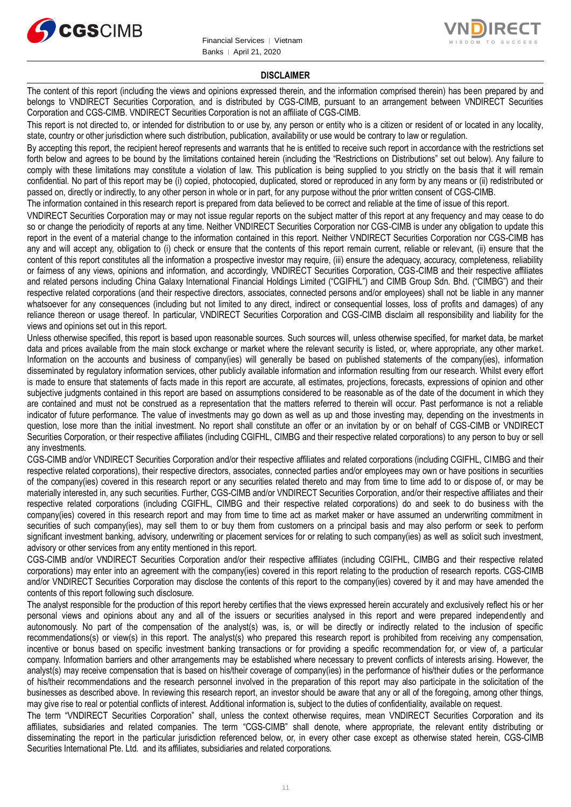



#### **DISCLAIMER**

The content of this report (including the views and opinions expressed therein, and the information comprised therein) has been prepared by and belongs to VNDIRECT Securities Corporation, and is distributed by CGS-CIMB, pursuant to an arrangement between VNDIRECT Securities Corporation and CGS-CIMB. VNDIRECT Securities Corporation is not an affiliate of CGS-CIMB.

This report is not directed to, or intended for distribution to or use by, any person or entity who is a citizen or resident of or located in any locality, state, country or other jurisdiction where such distribution, publication, availability or use would be contrary to law or regulation.

By accepting this report, the recipient hereof represents and warrants that he is entitled to receive such report in accordance with the restrictions set forth below and agrees to be bound by the limitations contained herein (including the "Restrictions on Distributions" set out below). Any failure to comply with these limitations may constitute a violation of law. This publication is being supplied to you strictly on the basis that it will remain confidential. No part of this report may be (i) copied, photocopied, duplicated, stored or reproduced in any form by any means or (ii) redistributed or passed on, directly or indirectly, to any other person in whole or in part, for any purpose without the prior written consent of CGS-CIMB.

The information contained in this research report is prepared from data believed to be correct and reliable at the time of issue of this report.

VNDIRECT Securities Corporation may or may not issue regular reports on the subject matter of this report at any frequency and may cease to do so or change the periodicity of reports at any time. Neither VNDIRECT Securities Corporation nor CGS-CIMB is under any obligation to update this report in the event of a material change to the information contained in this report. Neither VNDIRECT Securities Corporation nor CGS-CIMB has any and will accept any, obligation to (i) check or ensure that the contents of this report remain current, reliable or relevant, (ii) ensure that the content of this report constitutes all the information a prospective investor may require, (iii) ensure the adequacy, accuracy, completeness, reliability or fairness of any views, opinions and information, and accordingly, VNDIRECT Securities Corporation, CGS-CIMB and their respective affiliates and related persons including China Galaxy International Financial Holdings Limited ("CGIFHL") and CIMB Group Sdn. Bhd. ("CIMBG") and their respective related corporations (and their respective directors, associates, connected persons and/or employees) shall not be liable in any manner whatsoever for any consequences (including but not limited to any direct, indirect or consequential losses, loss of profits and damages) of any reliance thereon or usage thereof. In particular, VNDIRECT Securities Corporation and CGS-CIMB disclaim all responsibility and liability for the views and opinions set out in this report.

Unless otherwise specified, this report is based upon reasonable sources. Such sources will, unless otherwise specified, for market data, be market data and prices available from the main stock exchange or market where the relevant security is listed, or, where appropriate, any other market. Information on the accounts and business of company(ies) will generally be based on published statements of the company(ies), information disseminated by regulatory information services, other publicly available information and information resulting from our research. Whilst every effort is made to ensure that statements of facts made in this report are accurate, all estimates, projections, forecasts, expressions of opinion and other subjective judgments contained in this report are based on assumptions considered to be reasonable as of the date of the document in which they are contained and must not be construed as a representation that the matters referred to therein will occur. Past performance is not a reliable indicator of future performance. The value of investments may go down as well as up and those investing may, depending on the investments in question, lose more than the initial investment. No report shall constitute an offer or an invitation by or on behalf of CGS-CIMB or VNDIRECT Securities Corporation, or their respective affiliates (including CGIFHL, CIMBG and their respective related corporations) to any person to buy or sell any investments.

CGS-CIMB and/or VNDIRECT Securities Corporation and/or their respective affiliates and related corporations (including CGIFHL, CIMBG and their respective related corporations), their respective directors, associates, connected parties and/or employees may own or have positions in securities of the company(ies) covered in this research report or any securities related thereto and may from time to time add to or dispose of, or may be materially interested in, any such securities. Further, CGS-CIMB and/or VNDIRECT Securities Corporation, and/or their respective affiliates and their respective related corporations (including CGIFHL, CIMBG and their respective related corporations) do and seek to do business with the company(ies) covered in this research report and may from time to time act as market maker or have assumed an underwriting commitment in securities of such company(ies), may sell them to or buy them from customers on a principal basis and may also perform or seek to perform significant investment banking, advisory, underwriting or placement services for or relating to such company(ies) as well as solicit such investment, advisory or other services from any entity mentioned in this report.

CGS-CIMB and/or VNDIRECT Securities Corporation and/or their respective affiliates (including CGIFHL, CIMBG and their respective related corporations) may enter into an agreement with the company(ies) covered in this report relating to the production of research reports. CGS-CIMB and/or VNDIRECT Securities Corporation may disclose the contents of this report to the company(ies) covered by it and may have amended the contents of this report following such disclosure.

The analyst responsible for the production of this report hereby certifies that the views expressed herein accurately and exclusively reflect his or her personal views and opinions about any and all of the issuers or securities analysed in this report and were prepared independently and autonomously. No part of the compensation of the analyst(s) was, is, or will be directly or indirectly related to the inclusion of specific recommendations(s) or view(s) in this report. The analyst(s) who prepared this research report is prohibited from receiving any compensation, incentive or bonus based on specific investment banking transactions or for providing a specific recommendation for, or view of, a particular company. Information barriers and other arrangements may be established where necessary to prevent conflicts of interests arising. However, the analyst(s) may receive compensation that is based on his/their coverage of company(ies) in the performance of his/their duties or the performance of his/their recommendations and the research personnel involved in the preparation of this report may also participate in the solicitation of the businesses as described above. In reviewing this research report, an investor should be aware that any or all of the foregoing, among other things, may give rise to real or potential conflicts of interest. Additional information is, subject to the duties of confidentiality, available on request.

The term "VNDIRECT Securities Corporation" shall, unless the context otherwise requires, mean VNDIRECT Securities Corporation and its affiliates, subsidiaries and related companies. The term "CGS-CIMB" shall denote, where appropriate, the relevant entity distributing or disseminating the report in the particular jurisdiction referenced below, or, in every other case except as otherwise stated herein, CGS-CIMB Securities International Pte. Ltd. and its affiliates, subsidiaries and related corporations.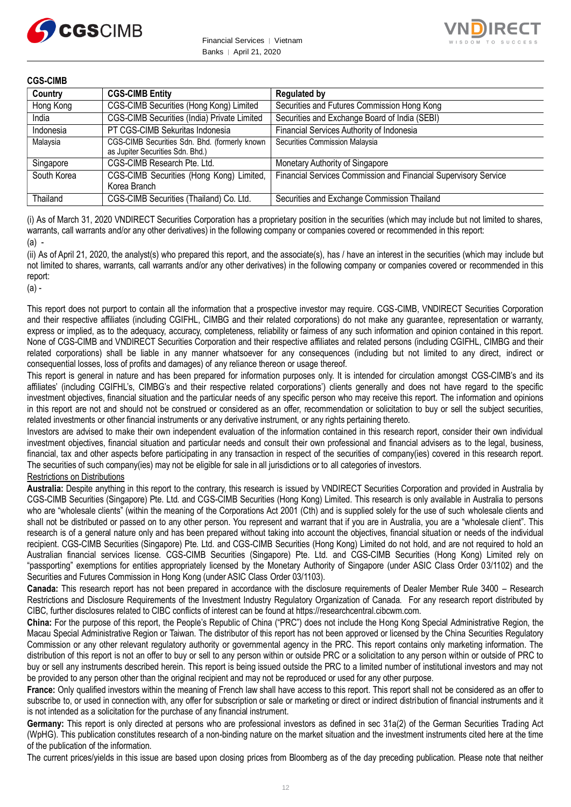



### **CGS-CIMB**

| Country     | <b>CGS-CIMB Entity</b>                                                            | <b>Regulated by</b>                                             |
|-------------|-----------------------------------------------------------------------------------|-----------------------------------------------------------------|
| Hong Kong   | CGS-CIMB Securities (Hong Kong) Limited                                           | Securities and Futures Commission Hong Kong                     |
| India       | CGS-CIMB Securities (India) Private Limited                                       | Securities and Exchange Board of India (SEBI)                   |
| Indonesia   | PT CGS-CIMB Sekuritas Indonesia                                                   | Financial Services Authority of Indonesia                       |
| Malaysia    | CGS-CIMB Securities Sdn. Bhd. (formerly known<br>as Jupiter Securities Sdn. Bhd.) | Securities Commission Malaysia                                  |
| Singapore   | CGS-CIMB Research Pte. Ltd.                                                       | Monetary Authority of Singapore                                 |
| South Korea | CGS-CIMB Securities (Hong Kong) Limited,<br>Korea Branch                          | Financial Services Commission and Financial Supervisory Service |
| Thailand    | CGS-CIMB Securities (Thailand) Co. Ltd.                                           | Securities and Exchange Commission Thailand                     |

(i) As of March 31, 2020 VNDIRECT Securities Corporation has a proprietary position in the securities (which may include but not limited to shares, warrants, call warrants and/or any other derivatives) in the following company or companies covered or recommended in this report:

(a) -

(ii) As of April 21, 2020, the analyst(s) who prepared this report, and the associate(s), has / have an interest in the securities (which may include but not limited to shares, warrants, call warrants and/or any other derivatives) in the following company or companies covered or recommended in this report:

(a) -

This report does not purport to contain all the information that a prospective investor may require. CGS-CIMB, VNDIRECT Securities Corporation and their respective affiliates (including CGIFHL, CIMBG and their related corporations) do not make any guarantee, representation or warranty, express or implied, as to the adequacy, accuracy, completeness, reliability or fairness of any such information and opinion contained in this report. None of CGS-CIMB and VNDIRECT Securities Corporation and their respective affiliates and related persons (including CGIFHL, CIMBG and their related corporations) shall be liable in any manner whatsoever for any consequences (including but not limited to any direct, indirect or consequential losses, loss of profits and damages) of any reliance thereon or usage thereof.

This report is general in nature and has been prepared for information purposes only. It is intended for circulation amongst CGS-CIMB's and its affiliates' (including CGIFHL's, CIMBG's and their respective related corporations') clients generally and does not have regard to the specific investment objectives, financial situation and the particular needs of any specific person who may receive this report. The information and opinions in this report are not and should not be construed or considered as an offer, recommendation or solicitation to buy or sell the subject securities, related investments or other financial instruments or any derivative instrument, or any rights pertaining thereto.

Investors are advised to make their own independent evaluation of the information contained in this research report, consider their own individual investment objectives, financial situation and particular needs and consult their own professional and financial advisers as to the legal, business, financial, tax and other aspects before participating in any transaction in respect of the securities of company(ies) covered in this research report. The securities of such company(ies) may not be eligible for sale in all jurisdictions or to all categories of investors.

## Restrictions on Distributions

**Australia:** Despite anything in this report to the contrary, this research is issued by VNDIRECT Securities Corporation and provided in Australia by CGS-CIMB Securities (Singapore) Pte. Ltd. and CGS-CIMB Securities (Hong Kong) Limited. This research is only available in Australia to persons who are "wholesale clients" (within the meaning of the Corporations Act 2001 (Cth) and is supplied solely for the use of such wholesale clients and shall not be distributed or passed on to any other person. You represent and warrant that if you are in Australia, you are a "wholesale client". This research is of a general nature only and has been prepared without taking into account the objectives, financial situation or needs of the individual recipient. CGS-CIMB Securities (Singapore) Pte. Ltd. and CGS-CIMB Securities (Hong Kong) Limited do not hold, and are not required to hold an Australian financial services license. CGS-CIMB Securities (Singapore) Pte. Ltd. and CGS-CIMB Securities (Hong Kong) Limited rely on "passporting" exemptions for entities appropriately licensed by the Monetary Authority of Singapore (under ASIC Class Order 03/1102) and the Securities and Futures Commission in Hong Kong (under ASIC Class Order 03/1103).

**Canada:** This research report has not been prepared in accordance with the disclosure requirements of Dealer Member Rule 3400 – Research Restrictions and Disclosure Requirements of the Investment Industry Regulatory Organization of Canada. For any research report distributed by CIBC, further disclosures related to CIBC conflicts of interest can be found at https://researchcentral.cibcwm.com.

**China:** For the purpose of this report, the People's Republic of China ("PRC") does not include the Hong Kong Special Administrative Region, the Macau Special Administrative Region or Taiwan. The distributor of this report has not been approved or licensed by the China Securities Regulatory Commission or any other relevant regulatory authority or governmental agency in the PRC. This report contains only marketing information. The distribution of this report is not an offer to buy or sell to any person within or outside PRC or a solicitation to any person within or outside of PRC to buy or sell any instruments described herein. This report is being issued outside the PRC to a limited number of institutional investors and may not be provided to any person other than the original recipient and may not be reproduced or used for any other purpose.

**France:** Only qualified investors within the meaning of French law shall have access to this report. This report shall not be considered as an offer to subscribe to, or used in connection with, any offer for subscription or sale or marketing or direct or indirect distribution of financial instruments and it is not intended as a solicitation for the purchase of any financial instrument.

**Germany:** This report is only directed at persons who are professional investors as defined in sec 31a(2) of the German Securities Trading Act (WpHG). This publication constitutes research of a non-binding nature on the market situation and the investment instruments cited here at the time of the publication of the information.

The current prices/yields in this issue are based upon closing prices from Bloomberg as of the day preceding publication. Please note that neither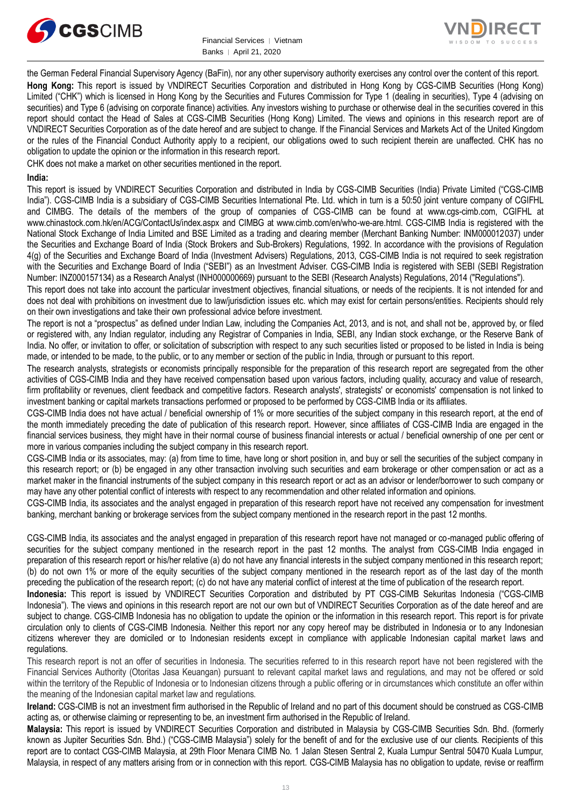



the German Federal Financial Supervisory Agency (BaFin), nor any other supervisory authority exercises any control over the content of this report. **Hong Kong:** This report is issued by VNDIRECT Securities Corporation and distributed in Hong Kong by CGS-CIMB Securities (Hong Kong) Limited ("CHK") which is licensed in Hong Kong by the Securities and Futures Commission for Type 1 (dealing in securities), Type 4 (advising on securities) and Type 6 (advising on corporate finance) activities. Any investors wishing to purchase or otherwise deal in the securities covered in this report should contact the Head of Sales at CGS-CIMB Securities (Hong Kong) Limited. The views and opinions in this research report are of VNDIRECT Securities Corporation as of the date hereof and are subject to change. If the Financial Services and Markets Act of the United Kingdom or the rules of the Financial Conduct Authority apply to a recipient, our obligations owed to such recipient therein are unaffected. CHK has no obligation to update the opinion or the information in this research report.

CHK does not make a market on other securities mentioned in the report.

### **India:**

This report is issued by VNDIRECT Securities Corporation and distributed in India by CGS-CIMB Securities (India) Private Limited ("CGS-CIMB India"). CGS-CIMB India is a subsidiary of CGS-CIMB Securities International Pte. Ltd. which in turn is a 50:50 joint venture company of CGIFHL and CIMBG. The details of the members of the group of companies of CGS-CIMB can be found at www.cgs-cimb.com, CGIFHL at www.chinastock.com.hk/en/ACG/ContactUs/index.aspx and CIMBG at www.cimb.com/en/who-we-are.html. CGS-CIMB India is registered with the National Stock Exchange of India Limited and BSE Limited as a trading and clearing member (Merchant Banking Number: INM000012037) under the Securities and Exchange Board of India (Stock Brokers and Sub-Brokers) Regulations, 1992. In accordance with the provisions of Regulation 4(g) of the Securities and Exchange Board of India (Investment Advisers) Regulations, 2013, CGS-CIMB India is not required to seek registration with the Securities and Exchange Board of India ("SEBI") as an Investment Adviser. CGS-CIMB India is registered with SEBI (SEBI Registration Number: INZ000157134) as a Research Analyst (INH000000669) pursuant to the SEBI (Research Analysts) Regulations, 2014 ("Regulations").

This report does not take into account the particular investment objectives, financial situations, or needs of the recipients. It is not intended for and does not deal with prohibitions on investment due to law/jurisdiction issues etc. which may exist for certain persons/entities. Recipients should rely on their own investigations and take their own professional advice before investment.

The report is not a "prospectus" as defined under Indian Law, including the Companies Act, 2013, and is not, and shall not be, approved by, or filed or registered with, any Indian regulator, including any Registrar of Companies in India, SEBI, any Indian stock exchange, or the Reserve Bank of India. No offer, or invitation to offer, or solicitation of subscription with respect to any such securities listed or proposed to be listed in India is being made, or intended to be made, to the public, or to any member or section of the public in India, through or pursuant to this report.

The research analysts, strategists or economists principally responsible for the preparation of this research report are segregated from the other activities of CGS-CIMB India and they have received compensation based upon various factors, including quality, accuracy and value of research, firm profitability or revenues, client feedback and competitive factors. Research analysts', strategists' or economists' compensation is not linked to investment banking or capital markets transactions performed or proposed to be performed by CGS-CIMB India or its affiliates.

CGS-CIMB India does not have actual / beneficial ownership of 1% or more securities of the subject company in this research report, at the end of the month immediately preceding the date of publication of this research report. However, since affiliates of CGS-CIMB India are engaged in the financial services business, they might have in their normal course of business financial interests or actual / beneficial ownership of one per cent or more in various companies including the subject company in this research report.

CGS-CIMB India or its associates, may: (a) from time to time, have long or short position in, and buy or sell the securities of the subject company in this research report; or (b) be engaged in any other transaction involving such securities and earn brokerage or other compensation or act as a market maker in the financial instruments of the subject company in this research report or act as an advisor or lender/borrower to such company or may have any other potential conflict of interests with respect to any recommendation and other related information and opinions.

CGS-CIMB India, its associates and the analyst engaged in preparation of this research report have not received any compensation for investment banking, merchant banking or brokerage services from the subject company mentioned in the research report in the past 12 months.

CGS-CIMB India, its associates and the analyst engaged in preparation of this research report have not managed or co-managed public offering of securities for the subject company mentioned in the research report in the past 12 months. The analyst from CGS-CIMB India engaged in preparation of this research report or his/her relative (a) do not have any financial interests in the subject company mentioned in this research report; (b) do not own 1% or more of the equity securities of the subject company mentioned in the research report as of the last day of the month preceding the publication of the research report; (c) do not have any material conflict of interest at the time of publication of the research report.

**Indonesia:** This report is issued by VNDIRECT Securities Corporation and distributed by PT CGS-CIMB Sekuritas Indonesia ("CGS-CIMB Indonesia"). The views and opinions in this research report are not our own but of VNDIRECT Securities Corporation as of the date hereof and are subject to change. CGS-CIMB Indonesia has no obligation to update the opinion or the information in this research report. This report is for private circulation only to clients of CGS-CIMB Indonesia. Neither this report nor any copy hereof may be distributed in Indonesia or to any Indonesian citizens wherever they are domiciled or to Indonesian residents except in compliance with applicable Indonesian capital market laws and regulations.

This research report is not an offer of securities in Indonesia. The securities referred to in this research report have not been registered with the Financial Services Authority (Otoritas Jasa Keuangan) pursuant to relevant capital market laws and regulations, and may not be offered or sold within the territory of the Republic of Indonesia or to Indonesian citizens through a public offering or in circumstances which constitute an offer within the meaning of the Indonesian capital market law and regulations.

**Ireland:** CGS-CIMB is not an investment firm authorised in the Republic of Ireland and no part of this document should be construed as CGS-CIMB acting as, or otherwise claiming or representing to be, an investment firm authorised in the Republic of Ireland.

**Malaysia:** This report is issued by VNDIRECT Securities Corporation and distributed in Malaysia by CGS-CIMB Securities Sdn. Bhd. (formerly known as Jupiter Securities Sdn. Bhd.) ("CGS-CIMB Malaysia") solely for the benefit of and for the exclusive use of our clients. Recipients of this report are to contact CGS-CIMB Malaysia, at 29th Floor Menara CIMB No. 1 Jalan Stesen Sentral 2, Kuala Lumpur Sentral 50470 Kuala Lumpur, Malaysia, in respect of any matters arising from or in connection with this report. CGS-CIMB Malaysia has no obligation to update, revise or reaffirm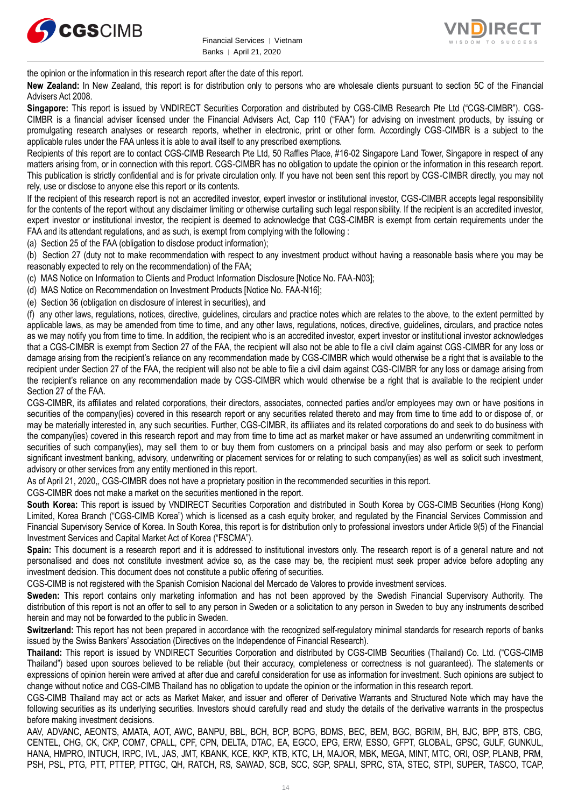



the opinion or the information in this research report after the date of this report.

**New Zealand:** In New Zealand, this report is for distribution only to persons who are wholesale clients pursuant to section 5C of the Financial Advisers Act 2008.

**Singapore:** This report is issued by VNDIRECT Securities Corporation and distributed by CGS-CIMB Research Pte Ltd ("CGS-CIMBR"). CGS-CIMBR is a financial adviser licensed under the Financial Advisers Act, Cap 110 ("FAA") for advising on investment products, by issuing or promulgating research analyses or research reports, whether in electronic, print or other form. Accordingly CGS-CIMBR is a subject to the applicable rules under the FAA unless it is able to avail itself to any prescribed exemptions.

Recipients of this report are to contact CGS-CIMB Research Pte Ltd, 50 Raffles Place, #16-02 Singapore Land Tower, Singapore in respect of any matters arising from, or in connection with this report. CGS-CIMBR has no obligation to update the opinion or the information in this research report. This publication is strictly confidential and is for private circulation only. If you have not been sent this report by CGS-CIMBR directly, you may not rely, use or disclose to anyone else this report or its contents.

If the recipient of this research report is not an accredited investor, expert investor or institutional investor, CGS-CIMBR accepts legal responsibility for the contents of the report without any disclaimer limiting or otherwise curtailing such legal responsibility. If the recipient is an accredited investor, expert investor or institutional investor, the recipient is deemed to acknowledge that CGS-CIMBR is exempt from certain requirements under the FAA and its attendant regulations, and as such, is exempt from complying with the following :

(a) Section 25 of the FAA (obligation to disclose product information);

(b) Section 27 (duty not to make recommendation with respect to any investment product without having a reasonable basis where you may be reasonably expected to rely on the recommendation) of the FAA;

(c) MAS Notice on Information to Clients and Product Information Disclosure [Notice No. FAA-N03];

(d) MAS Notice on Recommendation on Investment Products [Notice No. FAA-N16];

(e) Section 36 (obligation on disclosure of interest in securities), and

(f) any other laws, regulations, notices, directive, guidelines, circulars and practice notes which are relates to the above, to the extent permitted by applicable laws, as may be amended from time to time, and any other laws, regulations, notices, directive, guidelines, circulars, and practice notes as we may notify you from time to time. In addition, the recipient who is an accredited investor, expert investor or institutional investor acknowledges that a CGS-CIMBR is exempt from Section 27 of the FAA, the recipient will also not be able to file a civil claim against CGS-CIMBR for any loss or damage arising from the recipient's reliance on any recommendation made by CGS-CIMBR which would otherwise be a right that is available to the recipient under Section 27 of the FAA, the recipient will also not be able to file a civil claim against CGS-CIMBR for any loss or damage arising from the recipient's reliance on any recommendation made by CGS-CIMBR which would otherwise be a right that is available to the recipient under Section 27 of the FAA.

CGS-CIMBR, its affiliates and related corporations, their directors, associates, connected parties and/or employees may own or have positions in securities of the company(ies) covered in this research report or any securities related thereto and may from time to time add to or dispose of, or may be materially interested in, any such securities. Further, CGS-CIMBR, its affiliates and its related corporations do and seek to do business with the company(ies) covered in this research report and may from time to time act as market maker or have assumed an underwriting commitment in securities of such company(ies), may sell them to or buy them from customers on a principal basis and may also perform or seek to perform significant investment banking, advisory, underwriting or placement services for or relating to such company(ies) as well as solicit such investment, advisory or other services from any entity mentioned in this report.

As of April 21, 2020,, CGS-CIMBR does not have a proprietary position in the recommended securities in this report.

CGS-CIMBR does not make a market on the securities mentioned in the report.

**South Korea:** This report is issued by VNDIRECT Securities Corporation and distributed in South Korea by CGS-CIMB Securities (Hong Kong) Limited, Korea Branch ("CGS-CIMB Korea") which is licensed as a cash equity broker, and regulated by the Financial Services Commission and Financial Supervisory Service of Korea. In South Korea, this report is for distribution only to professional investors under Article 9(5) of the Financial Investment Services and Capital Market Act of Korea ("FSCMA").

**Spain:** This document is a research report and it is addressed to institutional investors only. The research report is of a general nature and not personalised and does not constitute investment advice so, as the case may be, the recipient must seek proper advice before adopting any investment decision. This document does not constitute a public offering of securities.

CGS-CIMB is not registered with the Spanish Comision Nacional del Mercado de Valores to provide investment services.

**Sweden:** This report contains only marketing information and has not been approved by the Swedish Financial Supervisory Authority. The distribution of this report is not an offer to sell to any person in Sweden or a solicitation to any person in Sweden to buy any instruments described herein and may not be forwarded to the public in Sweden.

**Switzerland:** This report has not been prepared in accordance with the recognized self-regulatory minimal standards for research reports of banks issued by the Swiss Bankers' Association (Directives on the Independence of Financial Research).

**Thailand:** This report is issued by VNDIRECT Securities Corporation and distributed by CGS-CIMB Securities (Thailand) Co. Ltd. ("CGS-CIMB Thailand") based upon sources believed to be reliable (but their accuracy, completeness or correctness is not guaranteed). The statements or expressions of opinion herein were arrived at after due and careful consideration for use as information for investment. Such opinions are subject to change without notice and CGS-CIMB Thailand has no obligation to update the opinion or the information in this research report.

CGS-CIMB Thailand may act or acts as Market Maker, and issuer and offerer of Derivative Warrants and Structured Note which may have the following securities as its underlying securities. Investors should carefully read and study the details of the derivative warrants in the prospectus before making investment decisions.

AAV, ADVANC, AEONTS, AMATA, AOT, AWC, BANPU, BBL, BCH, BCP, BCPG, BDMS, BEC, BEM, BGC, BGRIM, BH, BJC, BPP, BTS, CBG, CENTEL, CHG, CK, CKP, COM7, CPALL, CPF, CPN, DELTA, DTAC, EA, EGCO, EPG, ERW, ESSO, GFPT, GLOBAL, GPSC, GULF, GUNKUL, HANA, HMPRO, INTUCH, IRPC, IVL, JAS, JMT, KBANK, KCE, KKP, KTB, KTC, LH, MAJOR, MBK, MEGA, MINT, MTC, ORI, OSP, PLANB, PRM, PSH, PSL, PTG, PTT, PTTEP, PTTGC, QH, RATCH, RS, SAWAD, SCB, SCC, SGP, SPALI, SPRC, STA, STEC, STPI, SUPER, TASCO, TCAP,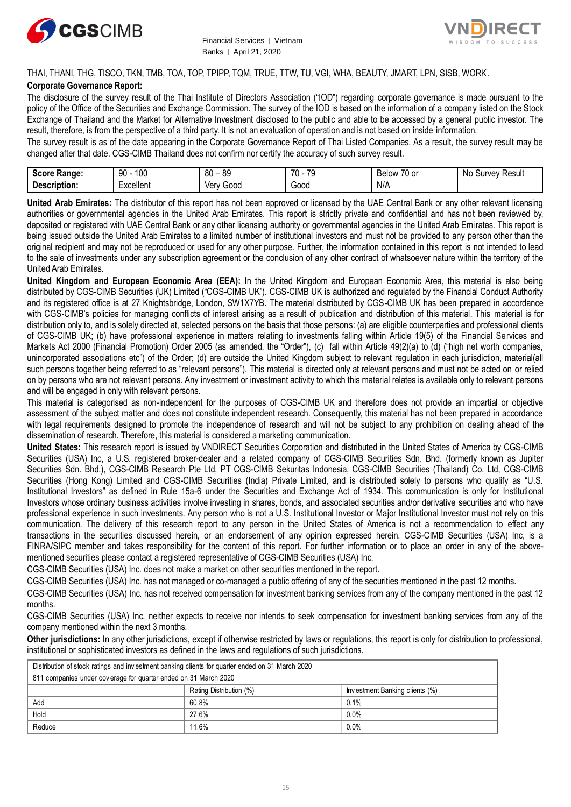



THAI, THANI, THG, TISCO, TKN, TMB, TOA, TOP, TPIPP, TQM, TRUE, TTW, TU, VGI, WHA, BEAUTY, JMART, LPN, SISB, WORK.

### **Corporate Governance Report:**

The disclosure of the survey result of the Thai Institute of Directors Association ("IOD") regarding corporate governance is made pursuant to the policy of the Office of the Securities and Exchange Commission. The survey of the IOD is based on the information of a company listed on the Stock Exchange of Thailand and the Market for Alternative Investment disclosed to the public and able to be accessed by a general public investor. The result, therefore, is from the perspective of a third party. It is not an evaluation of operation and is not based on inside information.

The survey result is as of the date appearing in the Corporate Governance Report of Thai Listed Companies. As a result, the survey result may be changed after that date. CGS-CIMB Thailand does not confirm nor certify the accuracy of such survey result.

| <b>Score</b><br>Range: | م م<br>ററ<br>JU<br>טע | .or<br>80<br>vũ | 70<br>$\overline{\phantom{a}}$<br>. . | $\overline{\phantom{a}}$<br>′U or<br><b>Below</b> | Result<br><b>VAV</b><br><b>NC</b><br>יוור. |
|------------------------|-----------------------|-----------------|---------------------------------------|---------------------------------------------------|--------------------------------------------|
| De:<br>ecription.      | Lyonllon'<br>LAUGHUIL | 000خ<br>Verv    | 000ئ                                  | N/A                                               |                                            |

**United Arab Emirates:** The distributor of this report has not been approved or licensed by the UAE Central Bank or any other relevant licensing authorities or governmental agencies in the United Arab Emirates. This report is strictly private and confidential and has not been reviewed by, deposited or registered with UAE Central Bank or any other licensing authority or governmental agencies in the United Arab Emirates. This report is being issued outside the United Arab Emirates to a limited number of institutional investors and must not be provided to any person other than the original recipient and may not be reproduced or used for any other purpose. Further, the information contained in this report is not intended to lead to the sale of investments under any subscription agreement or the conclusion of any other contract of whatsoever nature within the territory of the United Arab Emirates.

**United Kingdom and European Economic Area (EEA):** In the United Kingdom and European Economic Area, this material is also being distributed by CGS-CIMB Securities (UK) Limited ("CGS-CIMB UK"). CGS-CIMB UK is authorized and regulated by the Financial Conduct Authority and its registered office is at 27 Knightsbridge, London, SW1X7YB. The material distributed by CGS-CIMB UK has been prepared in accordance with CGS-CIMB's policies for managing conflicts of interest arising as a result of publication and distribution of this material. This material is for distribution only to, and is solely directed at, selected persons on the basis that those persons: (a) are eligible counterparties and professional clients of CGS-CIMB UK; (b) have professional experience in matters relating to investments falling within Article 19(5) of the Financial Services and Markets Act 2000 (Financial Promotion) Order 2005 (as amended, the "Order"), (c) fall within Article 49(2)(a) to (d) ("high net worth companies, unincorporated associations etc") of the Order; (d) are outside the United Kingdom subject to relevant regulation in each jurisdiction, material(all such persons together being referred to as "relevant persons"). This material is directed only at relevant persons and must not be acted on or relied on by persons who are not relevant persons. Any investment or investment activity to which this material relates is available only to relevant persons and will be engaged in only with relevant persons.

This material is categorised as non-independent for the purposes of CGS-CIMB UK and therefore does not provide an impartial or objective assessment of the subject matter and does not constitute independent research. Consequently, this material has not been prepared in accordance with legal requirements designed to promote the independence of research and will not be subject to any prohibition on dealing ahead of the dissemination of research. Therefore, this material is considered a marketing communication.

**United States:** This research report is issued by VNDIRECT Securities Corporation and distributed in the United States of America by CGS-CIMB Securities (USA) Inc, a U.S. registered broker-dealer and a related company of CGS-CIMB Securities Sdn. Bhd. (formerly known as Jupiter Securities Sdn. Bhd.), CGS-CIMB Research Pte Ltd, PT CGS-CIMB Sekuritas Indonesia, CGS-CIMB Securities (Thailand) Co. Ltd, CGS-CIMB Securities (Hong Kong) Limited and CGS-CIMB Securities (India) Private Limited, and is distributed solely to persons who qualify as "U.S. Institutional Investors" as defined in Rule 15a-6 under the Securities and Exchange Act of 1934. This communication is only for Institutional Investors whose ordinary business activities involve investing in shares, bonds, and associated securities and/or derivative securities and who have professional experience in such investments. Any person who is not a U.S. Institutional Investor or Major Institutional Investor must not rely on this communication. The delivery of this research report to any person in the United States of America is not a recommendation to effect any transactions in the securities discussed herein, or an endorsement of any opinion expressed herein. CGS-CIMB Securities (USA) Inc, is a FINRA/SIPC member and takes responsibility for the content of this report. For further information or to place an order in any of the abovementioned securities please contact a registered representative of CGS-CIMB Securities (USA) Inc.

CGS-CIMB Securities (USA) Inc. does not make a market on other securities mentioned in the report.

CGS-CIMB Securities (USA) Inc. has not managed or co-managed a public offering of any of the securities mentioned in the past 12 months.

CGS-CIMB Securities (USA) Inc. has not received compensation for investment banking services from any of the company mentioned in the past 12 months.

CGS-CIMB Securities (USA) Inc. neither expects to receive nor intends to seek compensation for investment banking services from any of the company mentioned within the next 3 months.

**Other jurisdictions:** In any other jurisdictions, except if otherwise restricted by laws or regulations, this report is only for distribution to professional, institutional or sophisticated investors as defined in the laws and regulations of such jurisdictions. Distribution of stock ratings and investment banking clients for quarter ended on 31 March 2020<br>Distribution of stock ratings and investment banking clients for quarter ended on 31 March 2020<br>R11 companies under coverage f

| <b>Other jurisdictions:</b> In any other jurisdictions, except if otherwise restricted by laws or regulations, this report is only for distribution to<br>institutional or sophisticated investors as defined in the laws and regulations of such jurisdictions. |                         |                                |  |
|------------------------------------------------------------------------------------------------------------------------------------------------------------------------------------------------------------------------------------------------------------------|-------------------------|--------------------------------|--|
| Distribution of stock ratings and investment banking clients for quarter ended on 31 March 2020                                                                                                                                                                  |                         |                                |  |
| 811 companies under coverage for quarter ended on 31 March 2020                                                                                                                                                                                                  |                         |                                |  |
|                                                                                                                                                                                                                                                                  | Rating Distribution (%) | Investment Banking clients (%) |  |
| Add                                                                                                                                                                                                                                                              | 60.8%                   | 0.1%                           |  |
| Hold                                                                                                                                                                                                                                                             | 27.6%                   | 0.0%                           |  |
| Reduce                                                                                                                                                                                                                                                           | 11.6%                   | $0.0\%$                        |  |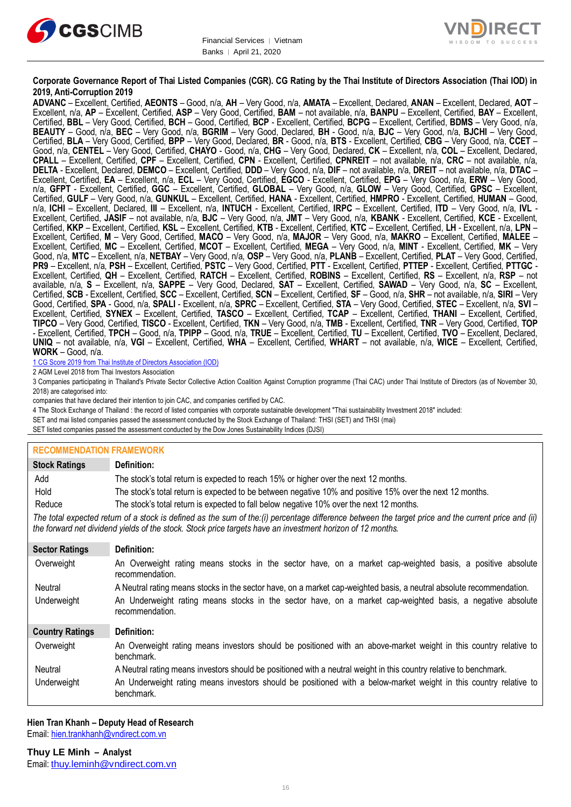



#### **Corporate Governance Report of Thai Listed Companies (CGR). CG Rating by the Thai Institute of Directors Association (Thai IOD) in 2019, Anti-Corruption 2019**

**ADVANC** – Excellent, Certified, **AEONTS** – Good, n/a, **AH** – Very Good, n/a, **AMATA** – Excellent, Declared, **ANAN** – Excellent, Declared, **AOT** – Excellent, n/a, **AP** – Excellent, Certified, **ASP** – Very Good, Certified, **BAM** – not available, n/a, **BANPU** – Excellent, Certified, **BAY** – Excellent, Certified, **BBL** – Very Good, Certified, **BCH** – Good, Certified, **BCP** - Excellent, Certified, **BCPG** – Excellent, Certified, **BDMS** – Very Good, n/a, **BEAUTY** – Good, n/a, **BEC** – Very Good, n/a, **BGRIM** – Very Good, Declared, **BH** - Good, n/a, **BJC** – Very Good, n/a, **BJCHI** – Very Good, Certified, **BLA** – Very Good, Certified, **BPP** – Very Good, Declared, **BR** - Good, n/a, **BTS** - Excellent, Certified, **CBG** – Very Good, n/a, **CCET** – Good, n/a, **CENTEL** – Very Good, Certified, **CHAYO** - Good, n/a, **CHG** – Very Good, Declared, **CK** – Excellent, n/a, **COL** – Excellent, Declared, **CPALL** – Excellent, Certified, **CPF** – Excellent, Certified, **CPN** - Excellent, Certified, **CPNREIT** – not available, n/a, **CRC** – not available, n/a, **DELTA** - Excellent, Declared, **DEMCO** – Excellent, Certified, **DDD** – Very Good, n/a, **DIF** – not available, n/a, **DREIT** – not available, n/a, **DTAC** – Excellent, Certified, **EA** – Excellent, n/a, **ECL** – Very Good, Certified, **EGCO** - Excellent, Certified, **EPG** – Very Good, n/a, **ERW** – Very Good, n/a, **GFPT** - Excellent, Certified, **GGC** – Excellent, Certified, **GLOBAL** – Very Good, n/a, **GLOW** – Very Good, Certified, **GPSC** – Excellent, Certified, **GULF** – Very Good, n/a, **GUNKUL** – Excellent, Certified, **HANA** - Excellent, Certified, **HMPRO** - Excellent, Certified, **HUMAN** – Good, n/a, **ICHI** – Excellent, Declared, **III** – Excellent, n/a, **INTUCH** - Excellent, Certified, **IRPC** – Excellent, Certified, **ITD** – Very Good, n/a, **IVL** - Excellent, Certified, **JASIF** – not available, n/a, **BJC** – Very Good, n/a, **JMT** – Very Good, n/a, **KBANK** - Excellent, Certified, **KCE** - Excellent, Certified, **KKP** – Excellent, Certified, **KSL** – Excellent, Certified, **KTB** - Excellent, Certified, **KTC** – Excellent, Certified, **LH** - Excellent, n/a, **LPN** – Excellent, Certified, **M** – Very Good, Certified, **MACO** – Very Good, n/a, **MAJOR** – Very Good, n/a, **MAKRO** – Excellent, Certified, **MALEE** – Excellent, Certified, **MC** – Excellent, Certified, **MCOT** – Excellent, Certified, **MEGA** – Very Good, n/a, **MINT** - Excellent, Certified, **MK** – Very Good, n/a, **MTC** – Excellent, n/a, **NETBAY** – Very Good, n/a, **OSP** – Very Good, n/a, **PLANB** – Excellent, Certified, **PLAT** – Very Good, Certified, **PR9** – Excellent, n/a, **PSH** – Excellent, Certified, **PSTC** – Very Good, Certified, **PTT** - Excellent, Certified, **PTTEP** - Excellent, Certified, **PTTGC** - Excellent, Certified, **QH** – Excellent, Certified, **RATCH** – Excellent, Certified, **ROBINS** – Excellent, Certified, **RS** – Excellent, n/a, **RSP** – not available, n/a, **S** – Excellent, n/a, **SAPPE** – Very Good, Declared, **SAT** – Excellent, Certified, **SAWAD** – Very Good, n/a, **SC** – Excellent, Certified, **SCB** - Excellent, Certified, **SCC** – Excellent, Certified, **SCN** – Excellent, Certified, **SF** – Good, n/a, **SHR** – not available, n/a, **SIRI** – Very Good, Certified, **SPA** - Good, n/a, **SPALI** - Excellent, n/a, **SPRC** – Excellent, Certified, **STA** – Very Good, Certified, **STEC** – Excellent, n/a, **SVI** – Excellent, Certified, **SYNEX** – Excellent, Certified, **TASCO** – Excellent, Certified, **TCAP** – Excellent, Certified, **THANI** – Excellent, Certified, **TIPCO** – Very Good, Certified, **TISCO** - Excellent, Certified, **TKN** – Very Good, n/a, **TMB** - Excellent, Certified, **TNR** – Very Good, Certified, **TOP** - Excellent, Certified, **TPCH** – Good, n/a, **TPIPP** – Good, n/a, **TRUE** – Excellent, Certified, **TU** – Excellent, Certified, **TVO** – Excellent, Declared, **UNIQ** – not available, n/a, **VGI** – Excellent, Certified, **WHA** – Excellent, Certified, **WHART** – not available, n/a, **WICE** – Excellent, Certified, **WORK** – Good, n/a.

1 CG Score 2019 from Thai Institute of Directors Association (IOD)

2 AGM Level 2018 from Thai Investors Association

3 Companies participating in Thailand's Private Sector Collective Action Coalition Against Corruption programme (Thai CAC) under Thai Institute of Directors (as of November 30, 2018) are categorised into:

companies that have declared their intention to join CAC, and companies certified by CAC.

4 [The Stock Exchange of Thailand : the record of listed companies with corporate sustainable development "Thai sustainability Investment 2018" included:](http://www.set.or.th/sustainable_dev/en/sr/sri/tsi_p1.html)

SET and mai listed companies passed the assessment conducted by the Stock Exchange of Thailand: THSI (SET) and THSI (mai)

SET listed companies passed the assessment conducted by the Dow Jones Sustainability Indices (DJSI)

#### **RECOMMENDATION FRAMEWORK**

| <b>Stock Ratings</b>                                                                                                                                                                                                                                              | Definition:                                                                                                                     |  |
|-------------------------------------------------------------------------------------------------------------------------------------------------------------------------------------------------------------------------------------------------------------------|---------------------------------------------------------------------------------------------------------------------------------|--|
| Add                                                                                                                                                                                                                                                               | The stock's total return is expected to reach 15% or higher over the next 12 months.                                            |  |
| Hold                                                                                                                                                                                                                                                              | The stock's total return is expected to be between negative 10% and positive 15% over the next 12 months.                       |  |
| Reduce                                                                                                                                                                                                                                                            | The stock's total return is expected to fall below negative 10% over the next 12 months.                                        |  |
| The total expected return of a stock is defined as the sum of the:(i) percentage difference between the target price and the current price and (ii)<br>the forward net dividend yields of the stock. Stock price targets have an investment horizon of 12 months. |                                                                                                                                 |  |
| <b>Sector Ratings</b>                                                                                                                                                                                                                                             | Definition:                                                                                                                     |  |
| Overweight                                                                                                                                                                                                                                                        | An Overweight rating means stocks in the sector have, on a market cap-weighted basis, a positive absolute<br>recommendation.    |  |
| Neutral                                                                                                                                                                                                                                                           | A Neutral rating means stocks in the sector have, on a market cap-weighted basis, a neutral absolute recommendation.            |  |
| Underweight                                                                                                                                                                                                                                                       | An Underweight rating means stocks in the sector have, on a market cap-weighted basis, a negative absolute<br>recommendation.   |  |
| <b>Country Ratings</b>                                                                                                                                                                                                                                            | Definition:                                                                                                                     |  |
| Overweight                                                                                                                                                                                                                                                        | An Overweight rating means investors should be positioned with an above-market weight in this country relative to<br>benchmark. |  |
| Neutral                                                                                                                                                                                                                                                           | A Neutral rating means investors should be positioned with a neutral weight in this country relative to benchmark.              |  |
| Underweight                                                                                                                                                                                                                                                       | An Underweight rating means investors should be positioned with a below-market weight in this country relative to<br>benchmark. |  |

#### **Hien Tran Khanh – Deputy Head of Research** Email[: hien.trankhanh@vndirect.com.vn](mailto:hien.trankhanh@vndirect.com.vn)